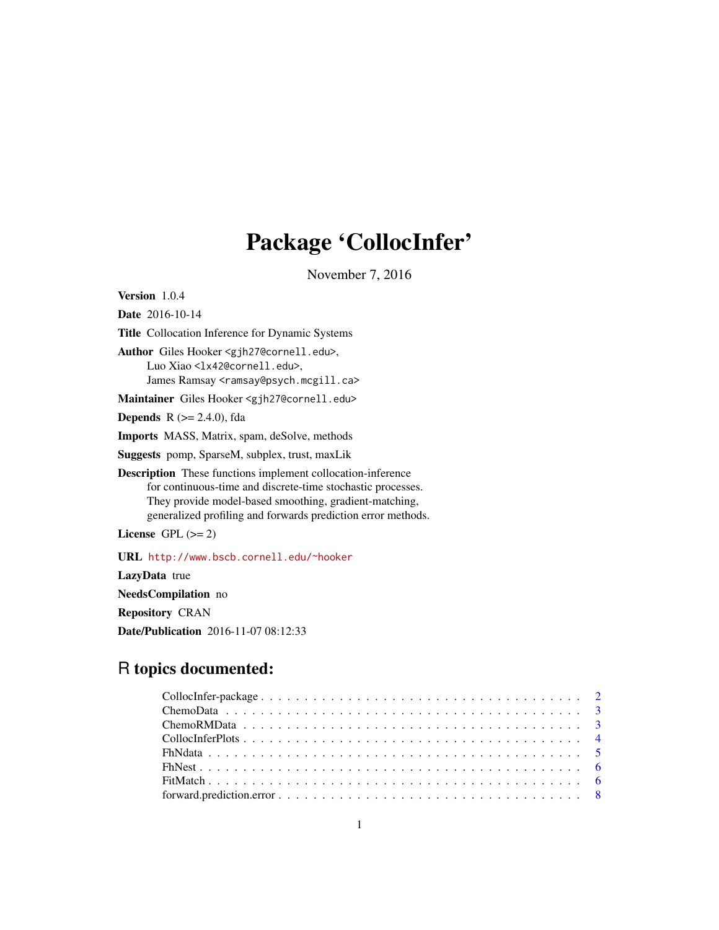# Package 'CollocInfer'

November 7, 2016

Version 1.0.4

Date 2016-10-14

Title Collocation Inference for Dynamic Systems Author Giles Hooker <gjh27@cornell.edu>, Luo Xiao <lx42@cornell.edu>,

James Ramsay <ramsay@psych.mcgill.ca>

Maintainer Giles Hooker <gjh27@cornell.edu>

**Depends**  $R$  ( $>= 2.4.0$ ), fda

Imports MASS, Matrix, spam, deSolve, methods

Suggests pomp, SparseM, subplex, trust, maxLik

Description These functions implement collocation-inference for continuous-time and discrete-time stochastic processes. They provide model-based smoothing, gradient-matching, generalized profiling and forwards prediction error methods.

License GPL  $(>= 2)$ 

URL <http://www.bscb.cornell.edu/~hooker>

LazyData true NeedsCompilation no Repository CRAN Date/Publication 2016-11-07 08:12:33

# R topics documented: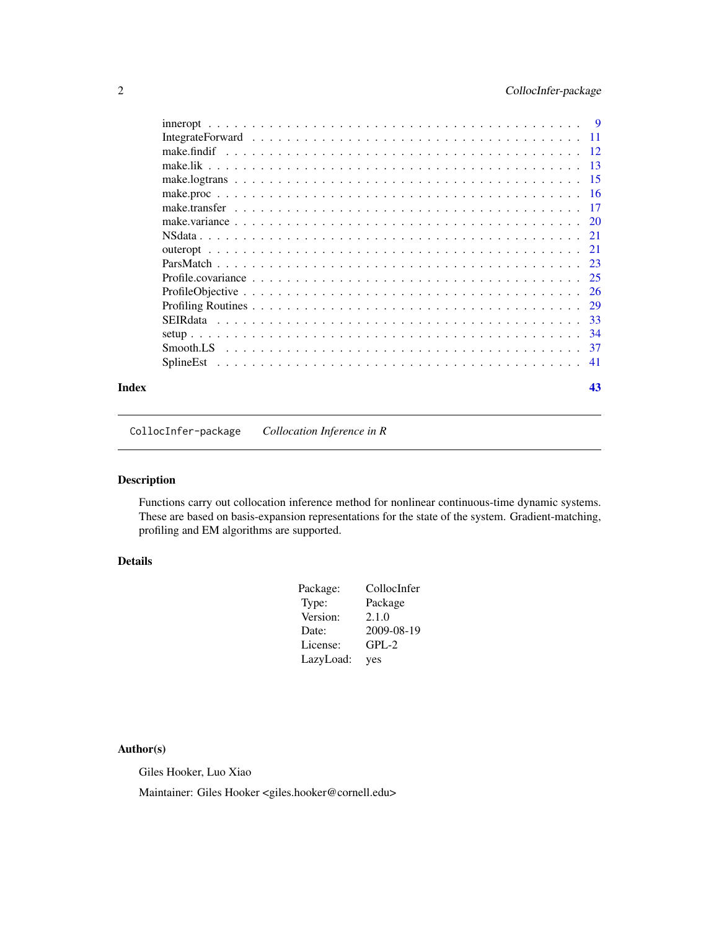<span id="page-1-0"></span>

|       | <b>SEIR</b> data |     |
|-------|------------------|-----|
|       |                  |     |
|       |                  |     |
|       |                  | -41 |
| Index |                  | 43  |

CollocInfer-package *Collocation Inference in R*

# Description

Functions carry out collocation inference method for nonlinear continuous-time dynamic systems. These are based on basis-expansion representations for the state of the system. Gradient-matching, profiling and EM algorithms are supported.

# Details

| Package:  | CollocInfer |
|-----------|-------------|
| Type:     | Package     |
| Version:  | 2.1.0       |
| Date:     | 2009-08-19  |
| License:  | $GPL-2$     |
| LazyLoad: | yes         |

# Author(s)

Giles Hooker, Luo Xiao

Maintainer: Giles Hooker <giles.hooker@cornell.edu>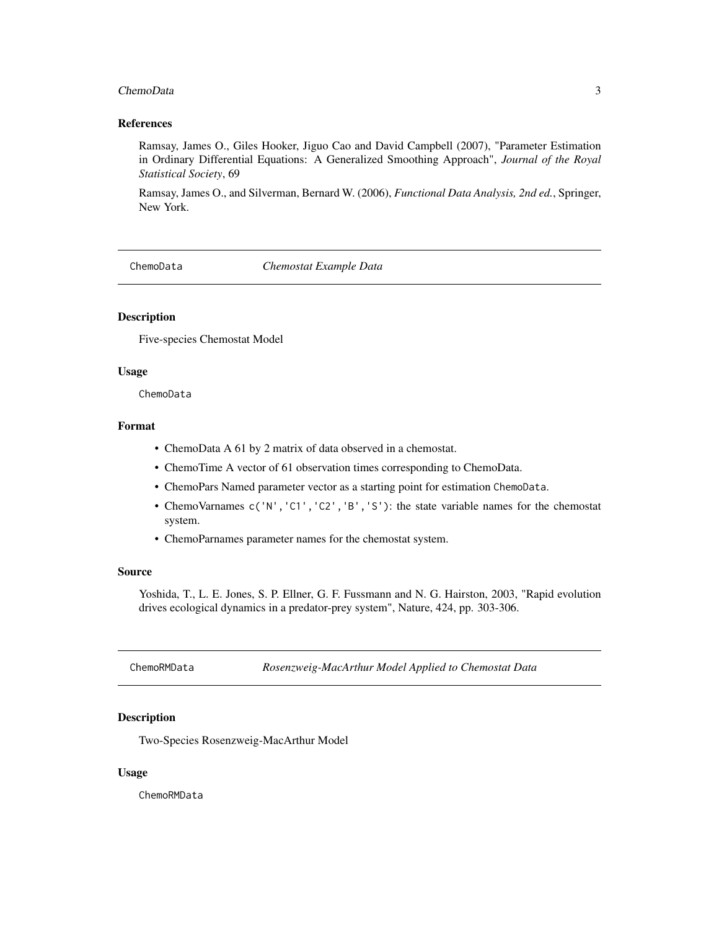#### <span id="page-2-0"></span>ChemoData 3

# References

Ramsay, James O., Giles Hooker, Jiguo Cao and David Campbell (2007), "Parameter Estimation in Ordinary Differential Equations: A Generalized Smoothing Approach", *Journal of the Royal Statistical Society*, 69

Ramsay, James O., and Silverman, Bernard W. (2006), *Functional Data Analysis, 2nd ed.*, Springer, New York.

ChemoData *Chemostat Example Data*

# **Description**

Five-species Chemostat Model

#### Usage

ChemoData

# Format

- ChemoData A 61 by 2 matrix of data observed in a chemostat.
- ChemoTime A vector of 61 observation times corresponding to ChemoData.
- ChemoPars Named parameter vector as a starting point for estimation ChemoData.
- ChemoVarnames c('N','C1','C2','B','S'): the state variable names for the chemostat system.
- ChemoParnames parameter names for the chemostat system.

#### Source

Yoshida, T., L. E. Jones, S. P. Ellner, G. F. Fussmann and N. G. Hairston, 2003, "Rapid evolution drives ecological dynamics in a predator-prey system", Nature, 424, pp. 303-306.

ChemoRMData *Rosenzweig-MacArthur Model Applied to Chemostat Data*

# Description

Two-Species Rosenzweig-MacArthur Model

#### Usage

ChemoRMData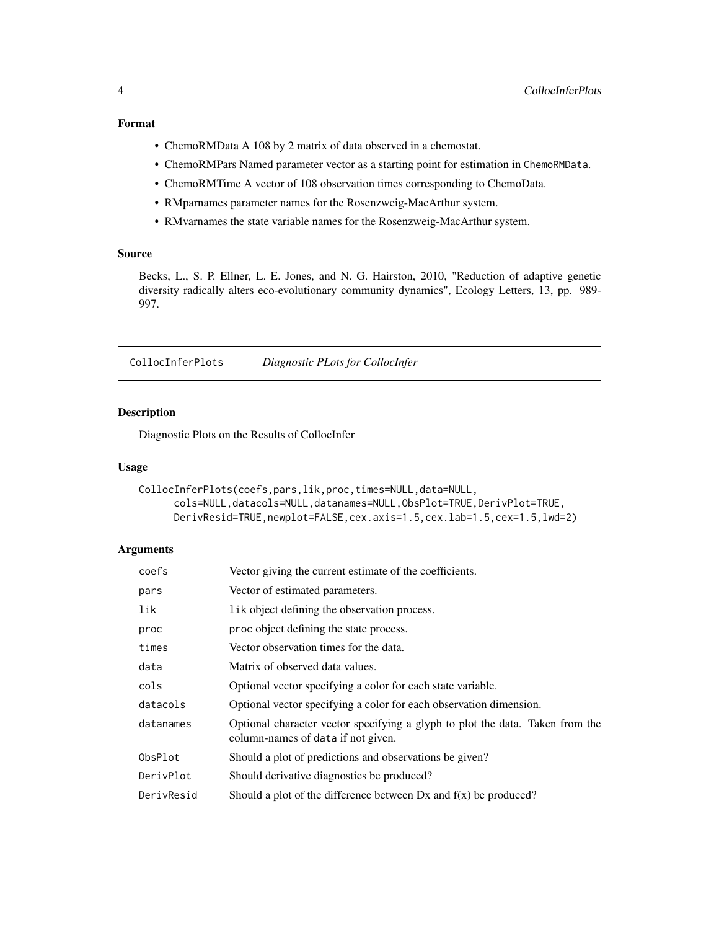# <span id="page-3-0"></span>Format

- ChemoRMData A 108 by 2 matrix of data observed in a chemostat.
- ChemoRMPars Named parameter vector as a starting point for estimation in ChemoRMData.
- ChemoRMTime A vector of 108 observation times corresponding to ChemoData.
- RMparnames parameter names for the Rosenzweig-MacArthur system.
- RMvarnames the state variable names for the Rosenzweig-MacArthur system.

#### Source

Becks, L., S. P. Ellner, L. E. Jones, and N. G. Hairston, 2010, "Reduction of adaptive genetic diversity radically alters eco-evolutionary community dynamics", Ecology Letters, 13, pp. 989- 997.

CollocInferPlots *Diagnostic PLots for CollocInfer*

# Description

Diagnostic Plots on the Results of CollocInfer

#### Usage

```
CollocInferPlots(coefs,pars,lik,proc,times=NULL,data=NULL,
     cols=NULL,datacols=NULL,datanames=NULL,ObsPlot=TRUE,DerivPlot=TRUE,
     DerivResid=TRUE,newplot=FALSE,cex.axis=1.5,cex.lab=1.5,cex=1.5,lwd=2)
```
# Arguments

| coefs      | Vector giving the current estimate of the coefficients.                                                             |
|------------|---------------------------------------------------------------------------------------------------------------------|
| pars       | Vector of estimated parameters.                                                                                     |
| lik        | lik object defining the observation process.                                                                        |
| proc       | proc object defining the state process.                                                                             |
| times      | Vector observation times for the data.                                                                              |
| data       | Matrix of observed data values.                                                                                     |
| cols       | Optional vector specifying a color for each state variable.                                                         |
| datacols   | Optional vector specifying a color for each observation dimension.                                                  |
| datanames  | Optional character vector specifying a glyph to plot the data. Taken from the<br>column-names of data if not given. |
| ObsPlot    | Should a plot of predictions and observations be given?                                                             |
| DerivPlot  | Should derivative diagnostics be produced?                                                                          |
| DerivResid | Should a plot of the difference between $Dx$ and $f(x)$ be produced?                                                |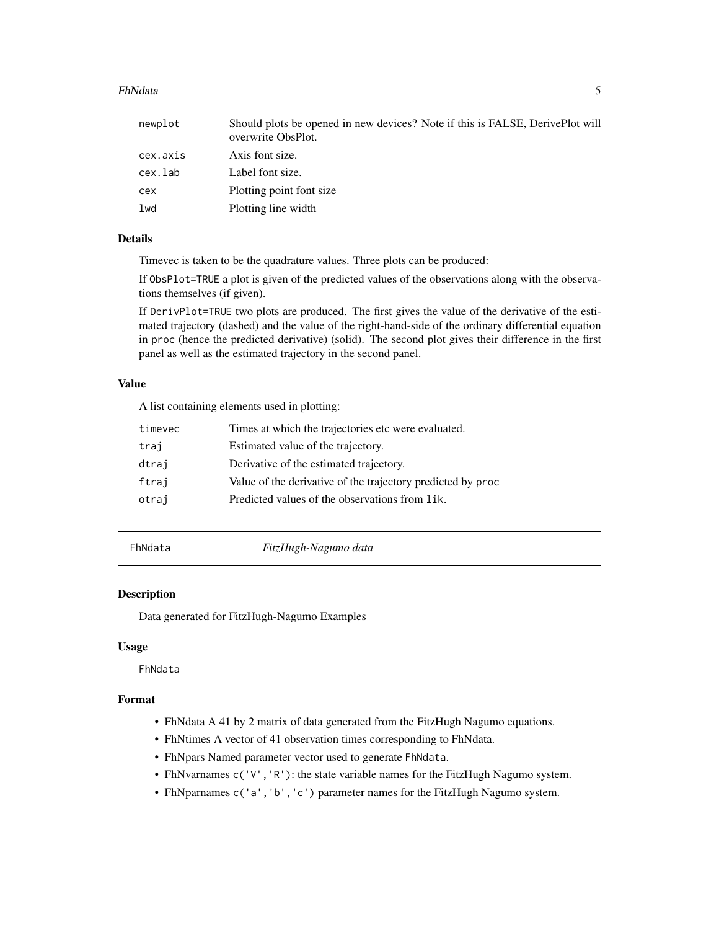#### <span id="page-4-0"></span>FhNdata 5

| newplot  | Should plots be opened in new devices? Note if this is FALSE, DerivePlot will<br>overwrite ObsPlot. |
|----------|-----------------------------------------------------------------------------------------------------|
| cex.axis | Axis font size.                                                                                     |
| cex.lab  | Label font size.                                                                                    |
| cex      | Plotting point font size                                                                            |
| lwd      | Plotting line width                                                                                 |

# Details

Timevec is taken to be the quadrature values. Three plots can be produced:

If ObsPlot=TRUE a plot is given of the predicted values of the observations along with the observations themselves (if given).

If DerivPlot=TRUE two plots are produced. The first gives the value of the derivative of the estimated trajectory (dashed) and the value of the right-hand-side of the ordinary differential equation in proc (hence the predicted derivative) (solid). The second plot gives their difference in the first panel as well as the estimated trajectory in the second panel.

## Value

A list containing elements used in plotting:

| timevec | Times at which the trajectories etc were evaluated.         |
|---------|-------------------------------------------------------------|
| traj    | Estimated value of the trajectory.                          |
| dtraj   | Derivative of the estimated trajectory.                     |
| ftraj   | Value of the derivative of the trajectory predicted by proc |
| otraj   | Predicted values of the observations from lik.              |

FhNdata *FitzHugh-Nagumo data*

#### Description

Data generated for FitzHugh-Nagumo Examples

#### Usage

FhNdata

# Format

- FhNdata A 41 by 2 matrix of data generated from the FitzHugh Nagumo equations.
- FhNtimes A vector of 41 observation times corresponding to FhNdata.
- FhNpars Named parameter vector used to generate FhNdata.
- FhNvarnames c('V','R'): the state variable names for the FitzHugh Nagumo system.
- FhNparnames c('a','b','c') parameter names for the FitzHugh Nagumo system.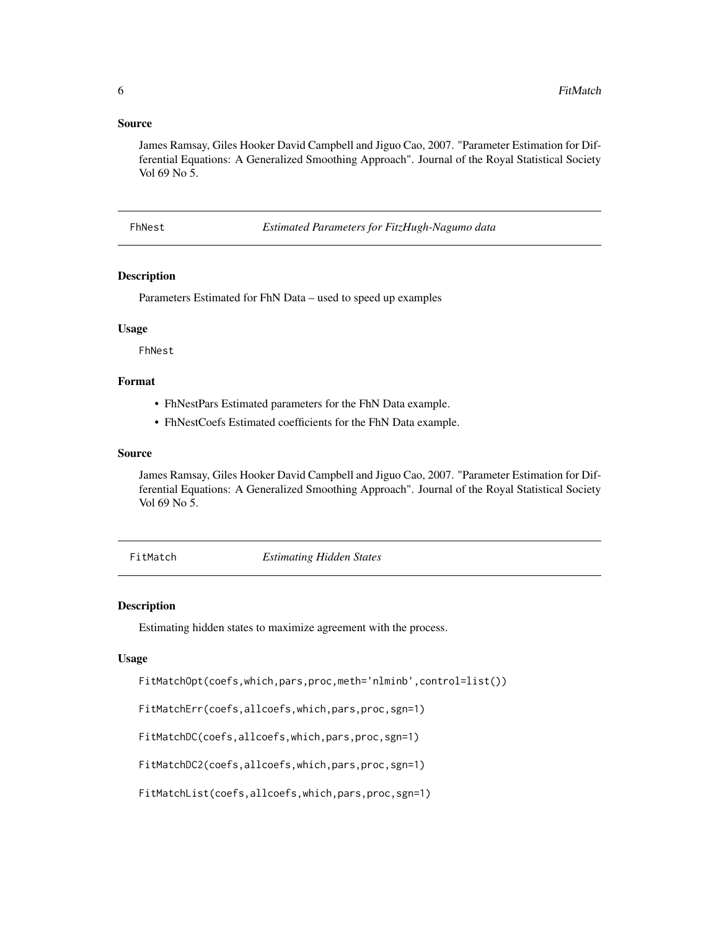#### <span id="page-5-0"></span>Source

James Ramsay, Giles Hooker David Campbell and Jiguo Cao, 2007. "Parameter Estimation for Differential Equations: A Generalized Smoothing Approach". Journal of the Royal Statistical Society Vol 69 No 5.

FhNest *Estimated Parameters for FitzHugh-Nagumo data*

#### Description

Parameters Estimated for FhN Data – used to speed up examples

# Usage

FhNest

# Format

- FhNestPars Estimated parameters for the FhN Data example.
- FhNestCoefs Estimated coefficients for the FhN Data example.

# Source

James Ramsay, Giles Hooker David Campbell and Jiguo Cao, 2007. "Parameter Estimation for Differential Equations: A Generalized Smoothing Approach". Journal of the Royal Statistical Society Vol 69 No 5.

FitMatch *Estimating Hidden States*

#### <span id="page-5-1"></span>Description

Estimating hidden states to maximize agreement with the process.

#### Usage

FitMatchOpt(coefs,which,pars,proc,meth='nlminb',control=list())

FitMatchErr(coefs,allcoefs,which,pars,proc,sgn=1)

FitMatchDC(coefs,allcoefs,which,pars,proc,sgn=1)

FitMatchDC2(coefs,allcoefs,which,pars,proc,sgn=1)

FitMatchList(coefs,allcoefs,which,pars,proc,sgn=1)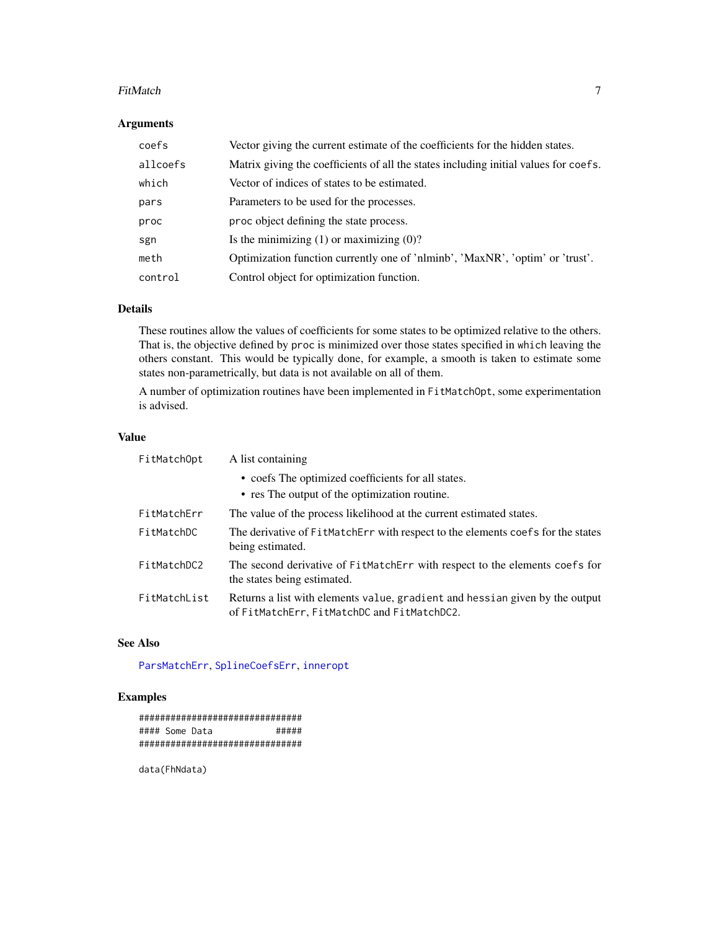#### <span id="page-6-0"></span>FitMatch 7 and 7 and 7 and 7 and 7 and 7 and 7 and 7 and 7 and 7 and 7 and 7 and 7 and 7 and 7 and 7 and 7 and 7 and 7 and 7 and 7 and 7 and 7 and 7 and 7 and 7 and 7 and 7 and 7 and 7 and 7 and 7 and 7 and 7 and 7 and 7 a

# Arguments

| coefs    | Vector giving the current estimate of the coefficients for the hidden states.        |
|----------|--------------------------------------------------------------------------------------|
| allcoefs | Matrix giving the coefficients of all the states including initial values for coefs. |
| which    | Vector of indices of states to be estimated.                                         |
| pars     | Parameters to be used for the processes.                                             |
| proc     | proc object defining the state process.                                              |
| sgn      | Is the minimizing $(1)$ or maximizing $(0)$ ?                                        |
| meth     | Optimization function currently one of 'nlminb', 'MaxNR', 'optim' or 'trust'.        |
| control  | Control object for optimization function.                                            |

# Details

These routines allow the values of coefficients for some states to be optimized relative to the others. That is, the objective defined by proc is minimized over those states specified in which leaving the others constant. This would be typically done, for example, a smooth is taken to estimate some states non-parametrically, but data is not available on all of them.

A number of optimization routines have been implemented in FitMatchOpt, some experimentation is advised.

#### Value

| FitMatchOpt  | A list containing                                                                                                           |
|--------------|-----------------------------------------------------------------------------------------------------------------------------|
|              | • coefs The optimized coefficients for all states.                                                                          |
|              | • res The output of the optimization routine.                                                                               |
| FitMatchErr  | The value of the process likelihood at the current estimated states.                                                        |
| FitMatchDC   | The derivative of FitMatchErr with respect to the elements coefs for the states<br>being estimated.                         |
| FitMatchDC2  | The second derivative of FitMatchErr with respect to the elements coefs for<br>the states being estimated.                  |
| FitMatchList | Returns a list with elements value, gradient and hessian given by the output<br>of FitMatchErr, FitMatchDC and FitMatchDC2. |

# See Also

[ParsMatchErr](#page-22-1), [SplineCoefsErr](#page-40-1), [inneropt](#page-8-1)

# Examples

############################### #### Some Data ##### ###############################

data(FhNdata)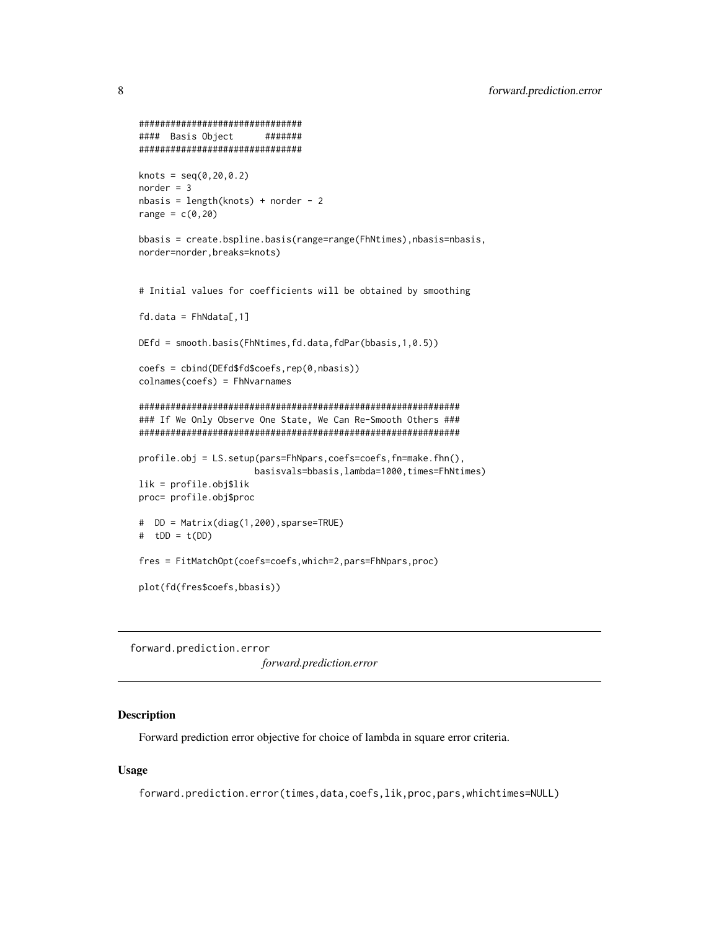```
###############################
#### Basis Object #######
###############################
knots = seq(0, 20, 0.2)norder = 3
nbasis = length(knots) + norder - 2range = c(0, 20)bbasis = create.bspline.basis(range=range(FhNtimes),nbasis=nbasis,
norder=norder,breaks=knots)
# Initial values for coefficients will be obtained by smoothing
fd.data = FhNdata[, 1]DEfd = smooth.basis(FhNtimes,fd.data,fdPar(bbasis,1,0.5))
coefs = cbind(DEfd$fd$coefs,rep(0,nbasis))
colnames(coefs) = FhNvarnames
#############################################################
### If We Only Observe One State, We Can Re-Smooth Others ###
#############################################################
profile.obj = LS.setup(pars=FhNpars,coefs=coefs,fn=make.fhn(),
                     basisvals=bbasis,lambda=1000,times=FhNtimes)
lik = profile.obj$lik
proc= profile.obj$proc
# DD = Matrix(diag(1,200),sparse=TRUE)
# tDD = t(DD)
fres = FitMatchOpt(coefs=coefs,which=2,pars=FhNpars,proc)
plot(fd(fres$coefs,bbasis))
```
forward.prediction.error *forward.prediction.error*

#### Description

Forward prediction error objective for choice of lambda in square error criteria.

# Usage

forward.prediction.error(times,data,coefs,lik,proc,pars,whichtimes=NULL)

<span id="page-7-0"></span>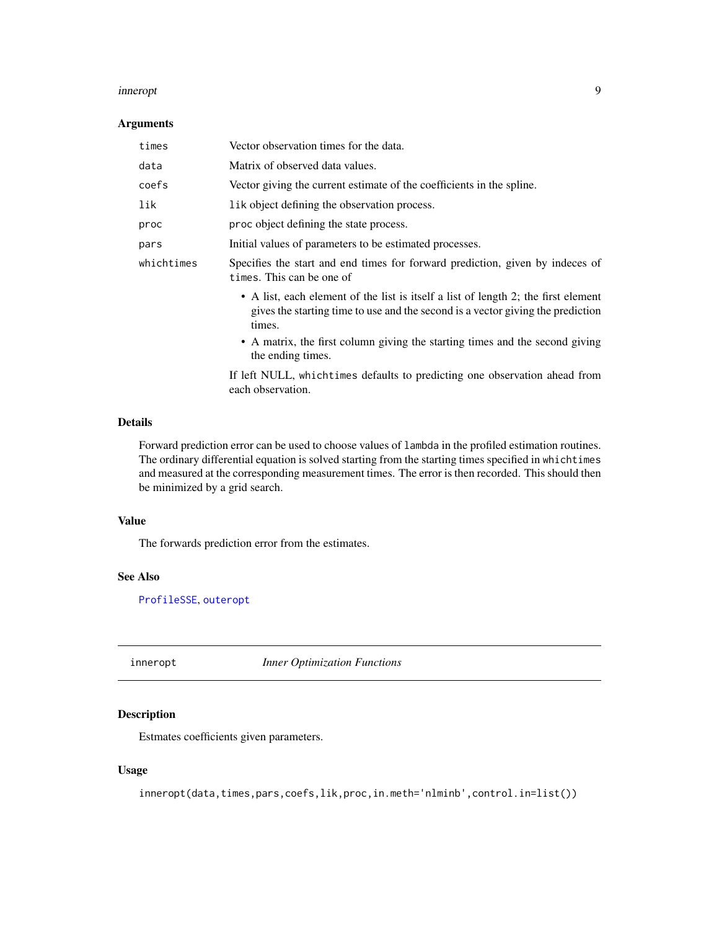#### <span id="page-8-0"></span>inneropt 9

#### Arguments

| times      | Vector observation times for the data.                                                                                                                                          |
|------------|---------------------------------------------------------------------------------------------------------------------------------------------------------------------------------|
| data       | Matrix of observed data values.                                                                                                                                                 |
| coefs      | Vector giving the current estimate of the coefficients in the spline.                                                                                                           |
| lik        | l ik object defining the observation process.                                                                                                                                   |
| proc       | proc object defining the state process.                                                                                                                                         |
| pars       | Initial values of parameters to be estimated processes.                                                                                                                         |
| whichtimes | Specifies the start and end times for forward prediction, given by indeces of<br>times. This can be one of                                                                      |
|            | • A list, each element of the list is itself a list of length 2; the first element<br>gives the starting time to use and the second is a vector giving the prediction<br>times. |
|            | • A matrix, the first column giving the starting times and the second giving<br>the ending times.                                                                               |

If left NULL, whichtimes defaults to predicting one observation ahead from each observation.

# Details

Forward prediction error can be used to choose values of lambda in the profiled estimation routines. The ordinary differential equation is solved starting from the starting times specified in whichtimes and measured at the corresponding measurement times. The error is then recorded. This should then be minimized by a grid search.

# Value

The forwards prediction error from the estimates.

# See Also

[ProfileSSE](#page-25-1), [outeropt](#page-20-1)

<span id="page-8-1"></span>inneropt *Inner Optimization Functions*

# Description

Estmates coefficients given parameters.

# Usage

inneropt(data,times,pars,coefs,lik,proc,in.meth='nlminb',control.in=list())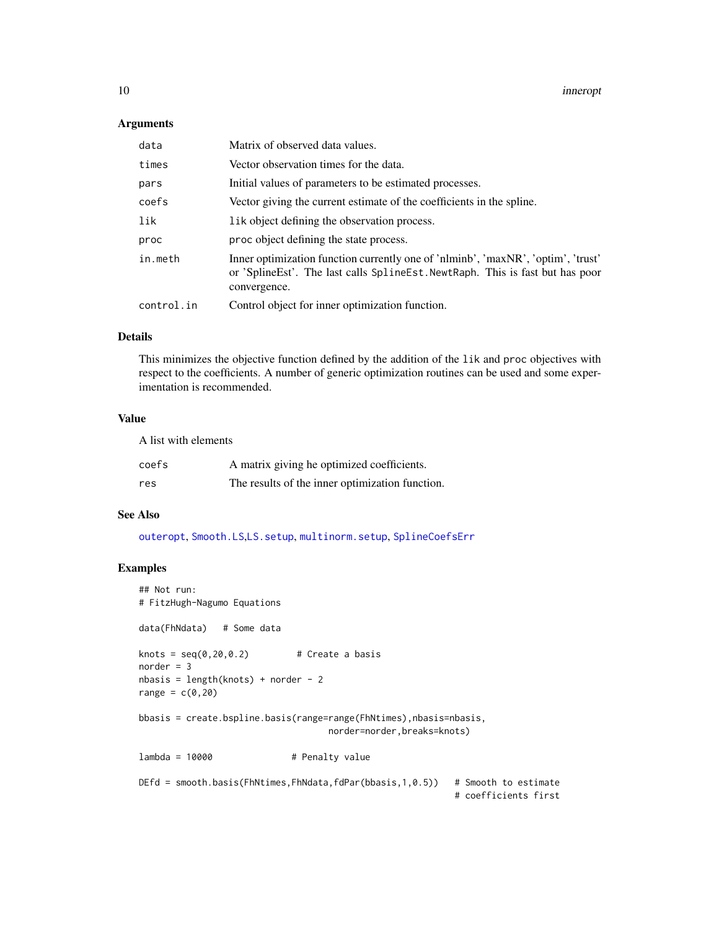# <span id="page-9-0"></span>Arguments

| data       | Matrix of observed data values.                                                                                                                                                      |  |
|------------|--------------------------------------------------------------------------------------------------------------------------------------------------------------------------------------|--|
| times      | Vector observation times for the data.                                                                                                                                               |  |
| pars       | Initial values of parameters to be estimated processes.                                                                                                                              |  |
| coefs      | Vector giving the current estimate of the coefficients in the spline.                                                                                                                |  |
| lik        | lik object defining the observation process.                                                                                                                                         |  |
| proc       | proc object defining the state process.                                                                                                                                              |  |
| in.meth    | Inner optimization function currently one of 'nlminb', 'maxNR', 'optim', 'trust'<br>or 'Spline Est'. The last calls Spline Est. Newt Raph. This is fast but has poor<br>convergence. |  |
| control.in | Control object for inner optimization function.                                                                                                                                      |  |

# Details

This minimizes the objective function defined by the addition of the lik and proc objectives with respect to the coefficients. A number of generic optimization routines can be used and some experimentation is recommended.

# Value

A list with elements

| coefs | A matrix giving he optimized coefficients.      |
|-------|-------------------------------------------------|
| res   | The results of the inner optimization function. |

#### See Also

[outeropt](#page-20-1), [Smooth.LS](#page-36-1),[LS.setup](#page-33-1), [multinorm.setup](#page-33-1), [SplineCoefsErr](#page-40-1)

# Examples

```
## Not run:
# FitzHugh-Nagumo Equations
data(FhNdata) # Some data
knots = seq(0, 20, 0.2) # Create a basis
norder = 3nbasis = length(knots) + norder - 2
range = c(\emptyset, 2\emptyset)bbasis = create.bspline.basis(range=range(FhNtimes),nbasis=nbasis,
                                   norder=norder,breaks=knots)
lambda = 10000 # Penalty value
DEfd = smooth.basis(FhNtimes,FhNdata,fdPar(bbasis,1,0.5)) # Smooth to estimate
                                                           # coefficients first
```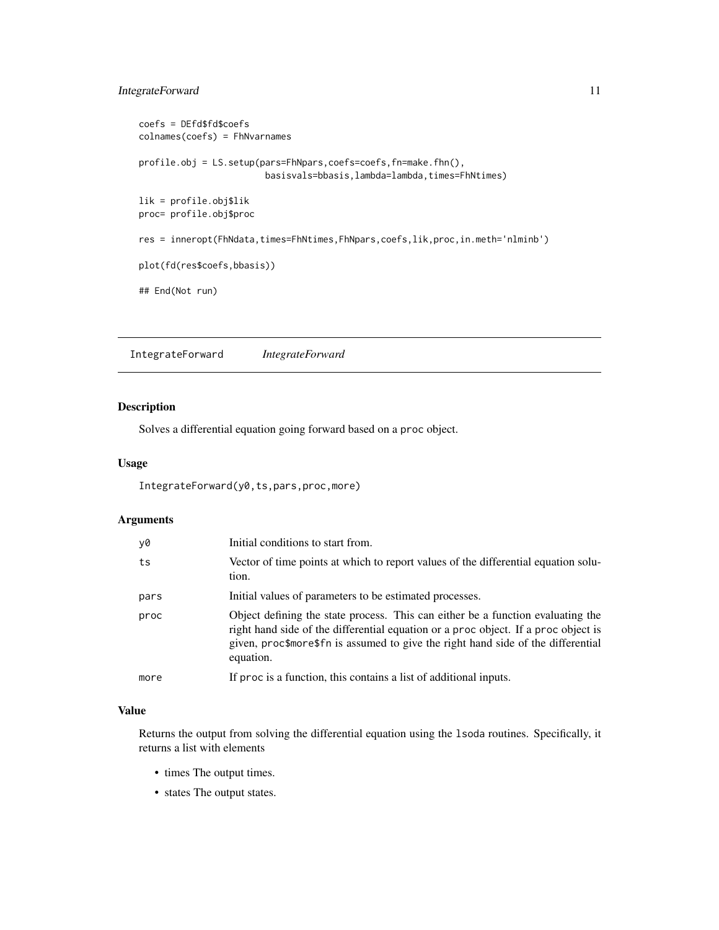# <span id="page-10-0"></span>IntegrateForward 11

```
coefs = DEfd$fd$coefs
colnames(coefs) = FhNvarnames
profile.obj = LS.setup(pars=FhNpars,coefs=coefs,fn=make.fhn(),
                        basisvals=bbasis,lambda=lambda,times=FhNtimes)
lik = profile.obj$lik
proc= profile.obj$proc
res = inneropt(FhNdata,times=FhNtimes,FhNpars,coefs,lik,proc,in.meth='nlminb')
plot(fd(res$coefs,bbasis))
## End(Not run)
```
IntegrateForward *IntegrateForward*

# Description

Solves a differential equation going forward based on a proc object.

#### Usage

IntegrateForward(y0,ts,pars,proc,more)

#### Arguments

| y0   | Initial conditions to start from.                                                                                                                                                                                                                                      |
|------|------------------------------------------------------------------------------------------------------------------------------------------------------------------------------------------------------------------------------------------------------------------------|
| ts   | Vector of time points at which to report values of the differential equation solu-<br>tion.                                                                                                                                                                            |
| pars | Initial values of parameters to be estimated processes.                                                                                                                                                                                                                |
| proc | Object defining the state process. This can either be a function evaluating the<br>right hand side of the differential equation or a proc object. If a proc object is<br>given, proc\$more\$fn is assumed to give the right hand side of the differential<br>equation. |
| more | If proc is a function, this contains a list of additional inputs.                                                                                                                                                                                                      |

#### Value

Returns the output from solving the differential equation using the lsoda routines. Specifically, it returns a list with elements

- times The output times.
- states The output states.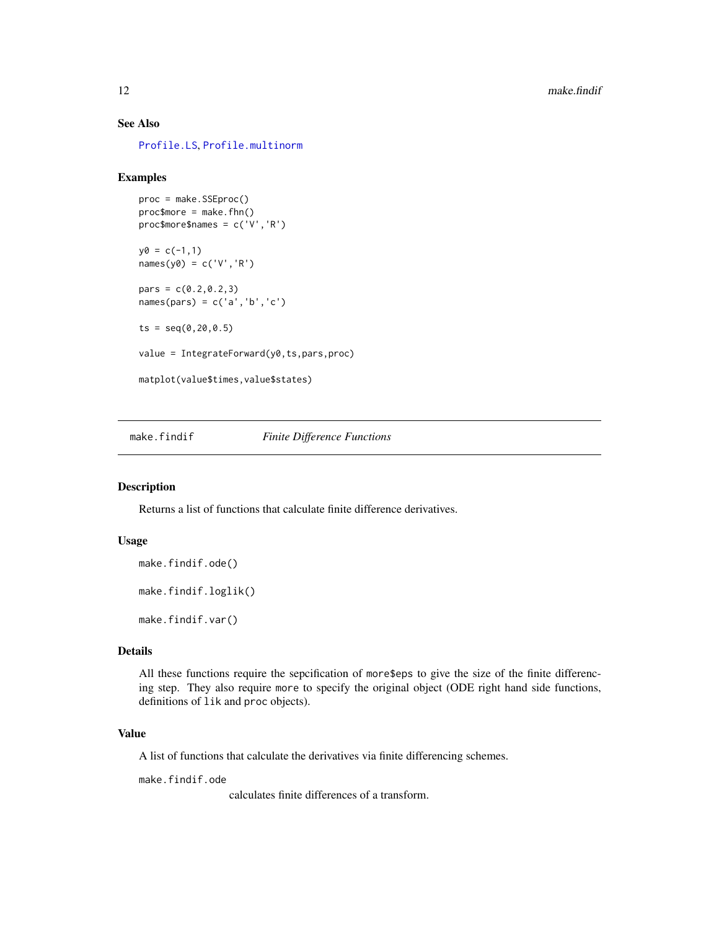# See Also

[Profile.LS](#page-28-1), [Profile.multinorm](#page-28-1)

#### Examples

```
proc = make.SSEproc()
proc$more = make.fhn()proc$more$names = c('V','R')
y0 = c(-1,1)names(y0) = c('V', 'R')pars = c(0.2, 0.2, 3)names(pars) = c('a','b','c')
ts = seq(0, 20, 0.5)value = IntegrateForward(y0,ts,pars,proc)
matplot(value$times,value$states)
```
make.findif *Finite Difference Functions*

#### Description

Returns a list of functions that calculate finite difference derivatives.

# Usage

```
make.findif.ode()
```
make.findif.loglik()

make.findif.var()

#### Details

All these functions require the sepcification of more\$eps to give the size of the finite differencing step. They also require more to specify the original object (ODE right hand side functions, definitions of lik and proc objects).

# Value

A list of functions that calculate the derivatives via finite differencing schemes.

make.findif.ode

calculates finite differences of a transform.

<span id="page-11-0"></span>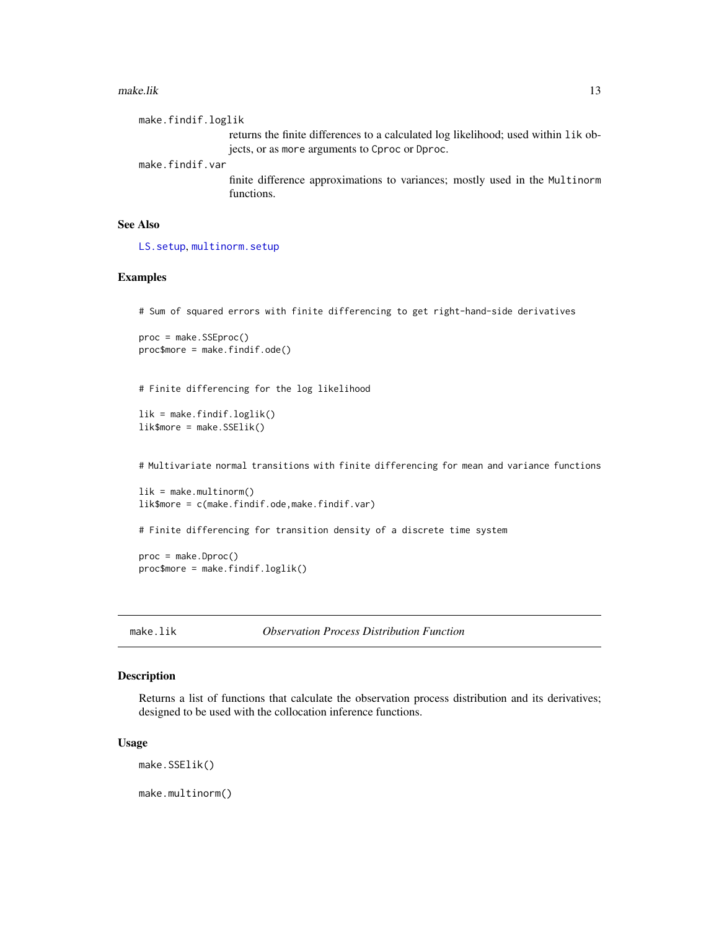#### <span id="page-12-0"></span>make.lik 13

make.findif.loglik returns the finite differences to a calculated log likelihood; used within lik objects, or as more arguments to Cproc or Dproc. make.findif.var finite difference approximations to variances; mostly used in the Multinorm functions.

# See Also

[LS.setup](#page-33-1), [multinorm.setup](#page-33-1)

# Examples

# Sum of squared errors with finite differencing to get right-hand-side derivatives

```
proc = make.SSEproc()
proc$more = make.findif.ode()
```
# Finite differencing for the log likelihood

```
lik = make.findif.loglik()
lik$more = make.SSElik()
```
# Multivariate normal transitions with finite differencing for mean and variance functions

```
lik = make.multinorm()
lik$more = c(make.findif.ode,make.findif.var)
```
# Finite differencing for transition density of a discrete time system

proc = make.Dproc() proc\$more = make.findif.loglik()

make.lik *Observation Process Distribution Function*

#### <span id="page-12-1"></span>Description

Returns a list of functions that calculate the observation process distribution and its derivatives; designed to be used with the collocation inference functions.

#### Usage

make.SSElik()

make.multinorm()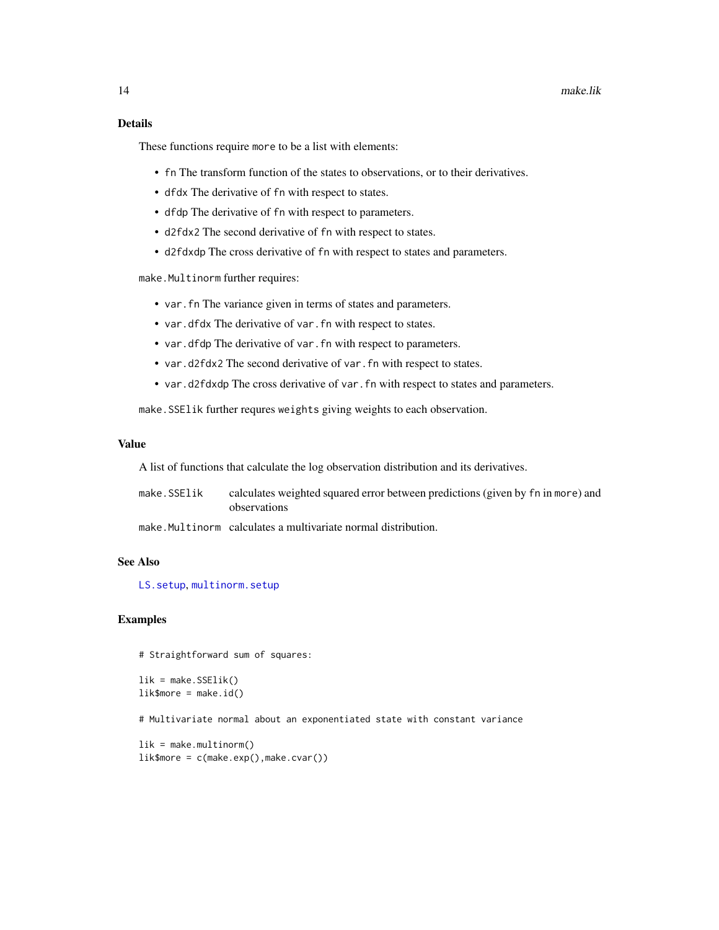# <span id="page-13-0"></span>Details

These functions require more to be a list with elements:

- fn The transform function of the states to observations, or to their derivatives.
- dfdx The derivative of fn with respect to states.
- dfdp The derivative of fn with respect to parameters.
- d2fdx2 The second derivative of fn with respect to states.
- d2fdxdp The cross derivative of fn with respect to states and parameters.

make.Multinorm further requires:

- var.fn The variance given in terms of states and parameters.
- var.dfdx The derivative of var.fn with respect to states.
- var.dfdp The derivative of var.fn with respect to parameters.
- var.d2fdx2 The second derivative of var.fn with respect to states.
- var.d2fdxdp The cross derivative of var.fn with respect to states and parameters.

make.SSElik further requres weights giving weights to each observation.

#### Value

A list of functions that calculate the log observation distribution and its derivatives.

make.SSElik calculates weighted squared error between predictions (given by fn in more) and observations

make.Multinorm calculates a multivariate normal distribution.

#### See Also

[LS.setup](#page-33-1), [multinorm.setup](#page-33-1)

#### Examples

# Straightforward sum of squares:

```
lik = make.SSElik()
lik$more = make.id()
```
# Multivariate normal about an exponentiated state with constant variance

```
lik = make.multinorm()
lik$more = c(make.exp(),make.cvar())
```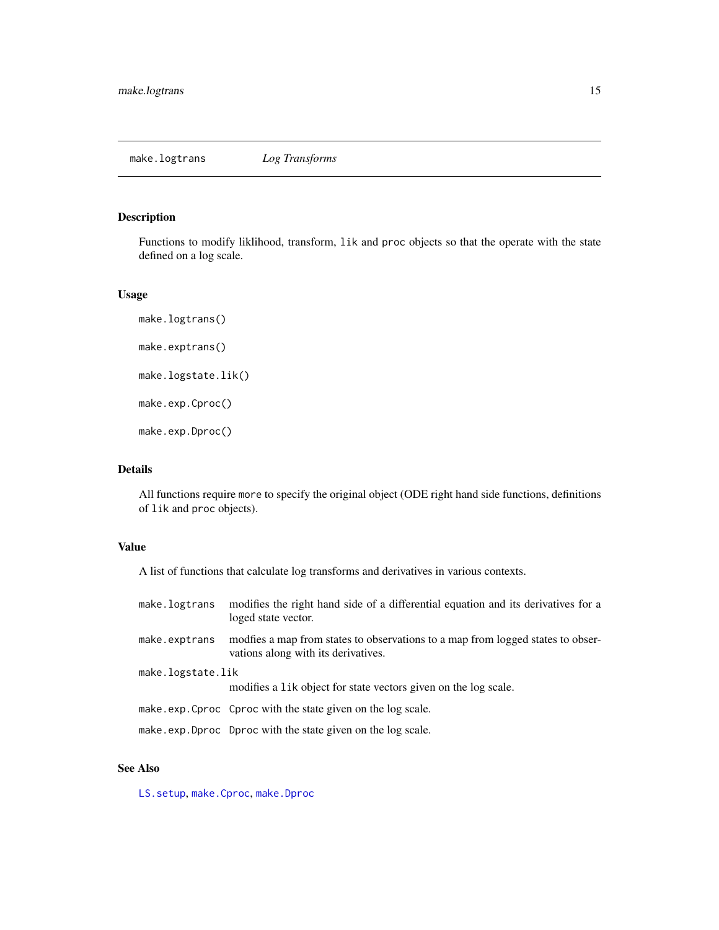# <span id="page-14-0"></span>Description

Functions to modify liklihood, transform, lik and proc objects so that the operate with the state defined on a log scale.

#### Usage

```
make.logtrans()
make.exptrans()
make.logstate.lik()
make.exp.Cproc()
make.exp.Dproc()
```
# Details

All functions require more to specify the original object (ODE right hand side functions, definitions of lik and proc objects).

# Value

A list of functions that calculate log transforms and derivatives in various contexts.

| make.logtrans     | modifies the right hand side of a differential equation and its derivatives for a<br>loged state vector.                |  |
|-------------------|-------------------------------------------------------------------------------------------------------------------------|--|
| make.exptrans     | modifies a map from states to observations to a map from logged states to obser-<br>vations along with its derivatives. |  |
| make.logstate.lik |                                                                                                                         |  |
|                   | modifies a lik object for state vectors given on the log scale.                                                         |  |
|                   | make.exp.Cproc Cproc with the state given on the log scale.                                                             |  |
|                   | make exp. Dproc Dproc with the state given on the log scale.                                                            |  |

# See Also

[LS.setup](#page-33-1), [make.Cproc](#page-15-1), [make.Dproc](#page-15-1)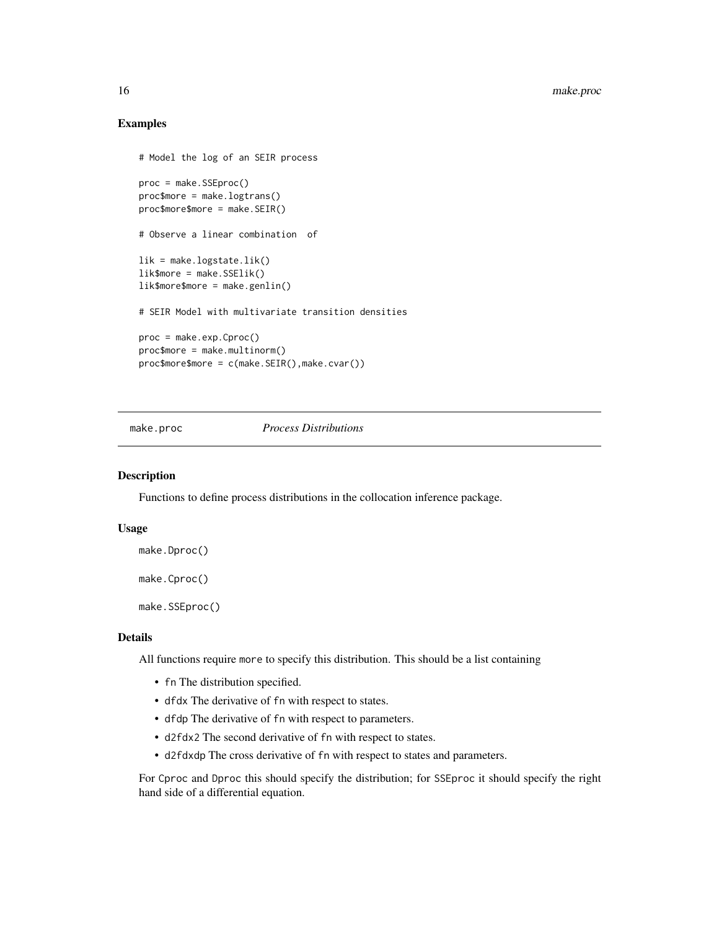## Examples

```
# Model the log of an SEIR process
proc = make.SSEproc()
proc$more = make.logtrans()
proc$more$more = make.SEIR()
# Observe a linear combination of
lik = make.logstate.lik()
lik$more = make.SSElik()
lik$more$more = make.genlin()
# SEIR Model with multivariate transition densities
proc = make.exp.Cproc()
proc$more = make.multinorm()
proc$more$more = c(make.SEIR(),make.cvar())
```
make.proc *Process Distributions*

#### <span id="page-15-1"></span>Description

Functions to define process distributions in the collocation inference package.

#### Usage

```
make.Dproc()
```
make.Cproc()

make.SSEproc()

#### Details

All functions require more to specify this distribution. This should be a list containing

- fn The distribution specified.
- dfdx The derivative of fn with respect to states.
- dfdp The derivative of fn with respect to parameters.
- d2fdx2 The second derivative of fn with respect to states.
- d2fdxdp The cross derivative of fn with respect to states and parameters.

For Cproc and Dproc this should specify the distribution; for SSEproc it should specify the right hand side of a differential equation.

<span id="page-15-0"></span>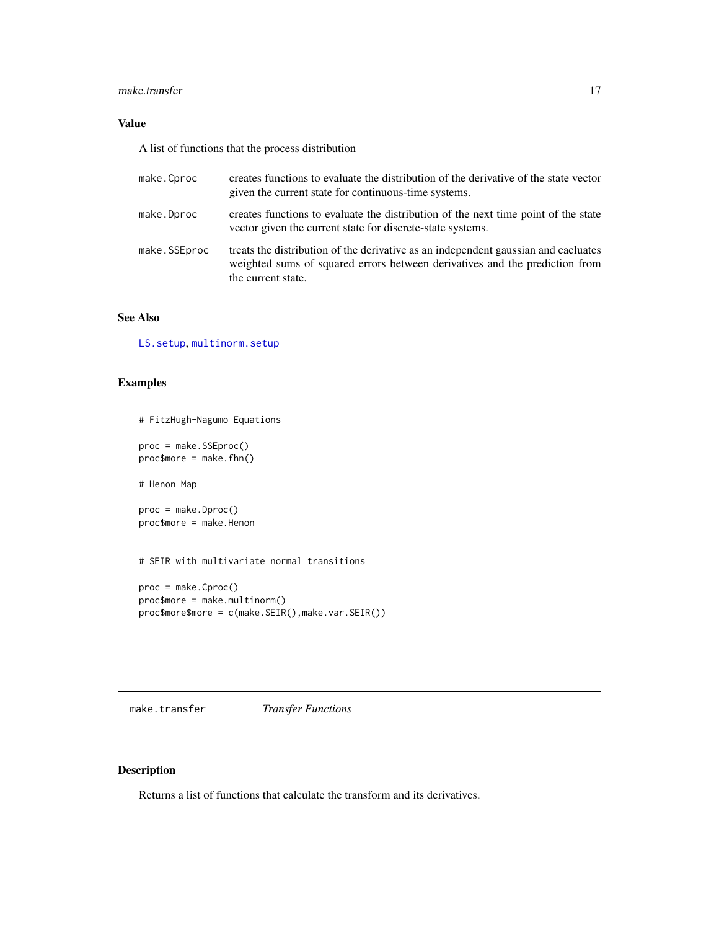#### <span id="page-16-0"></span>make.transfer 17

# Value

A list of functions that the process distribution

| make.Cproc   | creates functions to evaluate the distribution of the derivative of the state vector<br>given the current state for continuous-time systems.                                            |
|--------------|-----------------------------------------------------------------------------------------------------------------------------------------------------------------------------------------|
| make.Dproc   | creates functions to evaluate the distribution of the next time point of the state<br>vector given the current state for discrete-state systems.                                        |
| make.SSEproc | treats the distribution of the derivative as an independent gaussian and cacluates<br>weighted sums of squared errors between derivatives and the prediction from<br>the current state. |

# See Also

[LS.setup](#page-33-1), [multinorm.setup](#page-33-1)

# Examples

```
# FitzHugh-Nagumo Equations
proc = make.SSEproc()
proc$more = make.fhn()# Henon Map
proc = make.Dproc()
proc$more = make.Henon
# SEIR with multivariate normal transitions
proc = make.Cproc()
proc$more = make.multinorm()
proc$more$more = c(make.SEIR(),make.var.SEIR())
```
make.transfer *Transfer Functions*

# Description

Returns a list of functions that calculate the transform and its derivatives.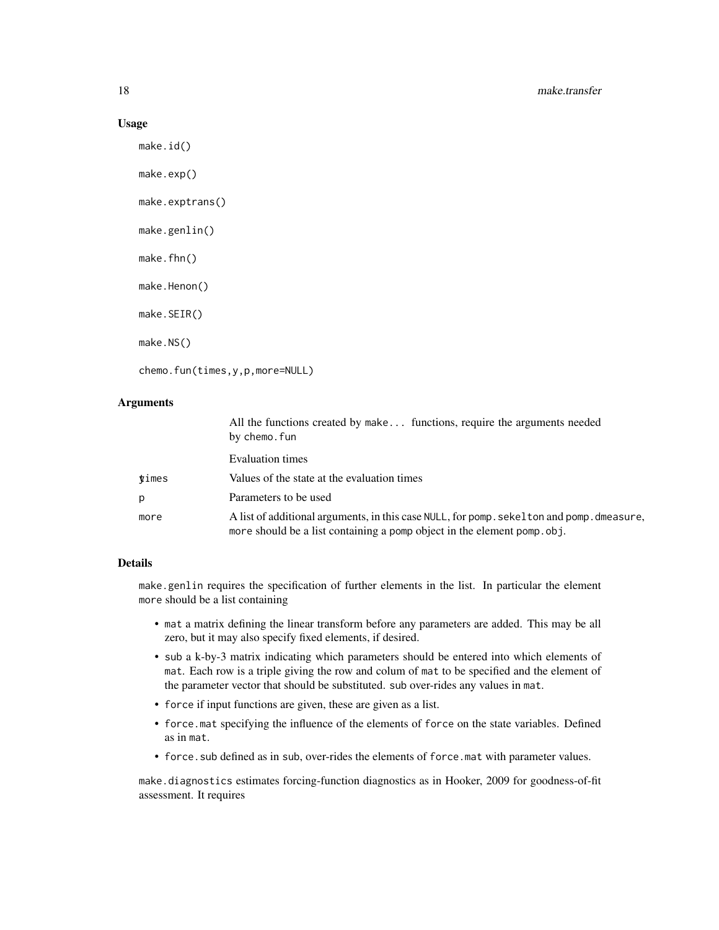#### Usage

```
make.id()
make.exp()
make.exptrans()
make.genlin()
make.fhn()
make.Henon()
make.SEIR()
make.NS()
chemo.fun(times,y,p,more=NULL)
```
#### Arguments

|             | All the functions created by make functions, require the arguments needed<br>by chemo.fun                                                                              |
|-------------|------------------------------------------------------------------------------------------------------------------------------------------------------------------------|
|             | Evaluation times                                                                                                                                                       |
| $\tt times$ | Values of the state at the evaluation times                                                                                                                            |
| p           | Parameters to be used                                                                                                                                                  |
| more        | A list of additional arguments, in this case NULL, for pomp. sekel ton and pomp. dmeasure,<br>more should be a list containing a pomp object in the element pomp. obj. |

#### Details

make.genlin requires the specification of further elements in the list. In particular the element more should be a list containing

- mat a matrix defining the linear transform before any parameters are added. This may be all zero, but it may also specify fixed elements, if desired.
- sub a k-by-3 matrix indicating which parameters should be entered into which elements of mat. Each row is a triple giving the row and colum of mat to be specified and the element of the parameter vector that should be substituted. sub over-rides any values in mat.
- force if input functions are given, these are given as a list.
- force.mat specifying the influence of the elements of force on the state variables. Defined as in mat.
- force.sub defined as in sub, over-rides the elements of force.mat with parameter values.

make.diagnostics estimates forcing-function diagnostics as in Hooker, 2009 for goodness-of-fit assessment. It requires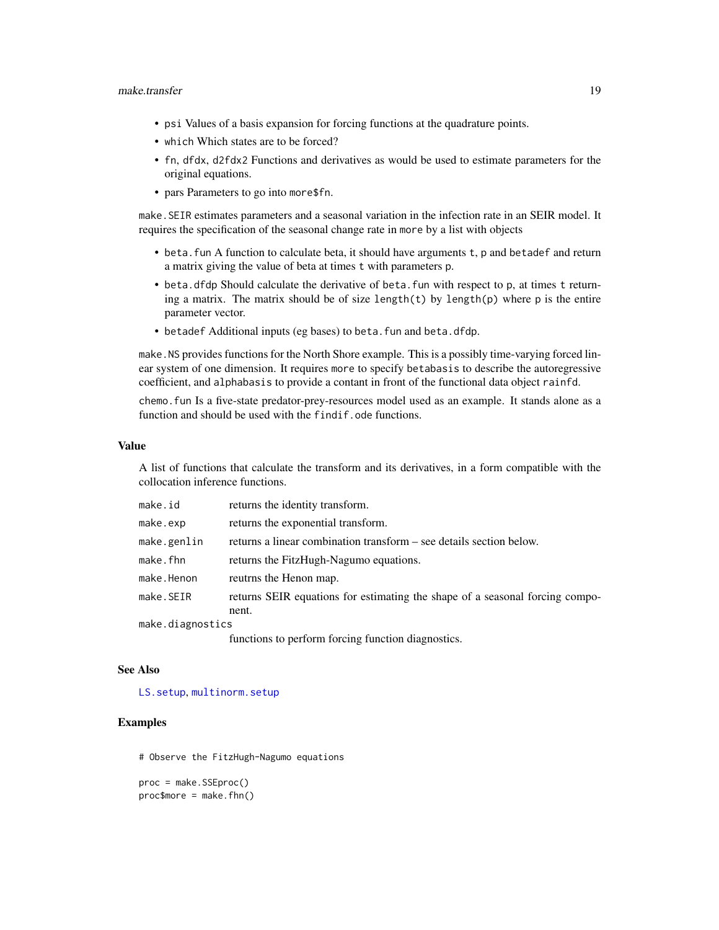#### <span id="page-18-0"></span>make.transfer 19

- psi Values of a basis expansion for forcing functions at the quadrature points.
- which Which states are to be forced?
- fn, dfdx, d2fdx2 Functions and derivatives as would be used to estimate parameters for the original equations.
- pars Parameters to go into more\$fn.

make.SEIR estimates parameters and a seasonal variation in the infection rate in an SEIR model. It requires the specification of the seasonal change rate in more by a list with objects

- beta. fun A function to calculate beta, it should have arguments t, p and betadef and return a matrix giving the value of beta at times t with parameters p.
- beta.dfdp Should calculate the derivative of beta.fun with respect to p, at times t returning a matrix. The matrix should be of size length(t) by length(p) where  $p$  is the entire parameter vector.
- betadef Additional inputs (eg bases) to beta.fun and beta.dfdp.

make.NS provides functions for the North Shore example. This is a possibly time-varying forced linear system of one dimension. It requires more to specify betabasis to describe the autoregressive coefficient, and alphabasis to provide a contant in front of the functional data object rainfd.

chemo.fun Is a five-state predator-prey-resources model used as an example. It stands alone as a function and should be used with the findif.ode functions.

#### Value

A list of functions that calculate the transform and its derivatives, in a form compatible with the collocation inference functions.

| make.id          | returns the identity transform.                                              |
|------------------|------------------------------------------------------------------------------|
| make.exp         | returns the exponential transform.                                           |
| make.genlin      | returns a linear combination transform – see details section below.          |
| make.fhn         | returns the FitzHugh-Nagumo equations.                                       |
| make.Henon       | reutrns the Henon map.                                                       |
| make.SEIR        | returns SEIR equations for estimating the shape of a seasonal forcing compo- |
|                  | nent.                                                                        |
| make.diagnostics |                                                                              |

functions to perform forcing function diagnostics.

#### See Also

[LS.setup](#page-33-1), [multinorm.setup](#page-33-1)

# Examples

# Observe the FitzHugh-Nagumo equations

proc = make.SSEproc()  $proc$more = make.fhn()$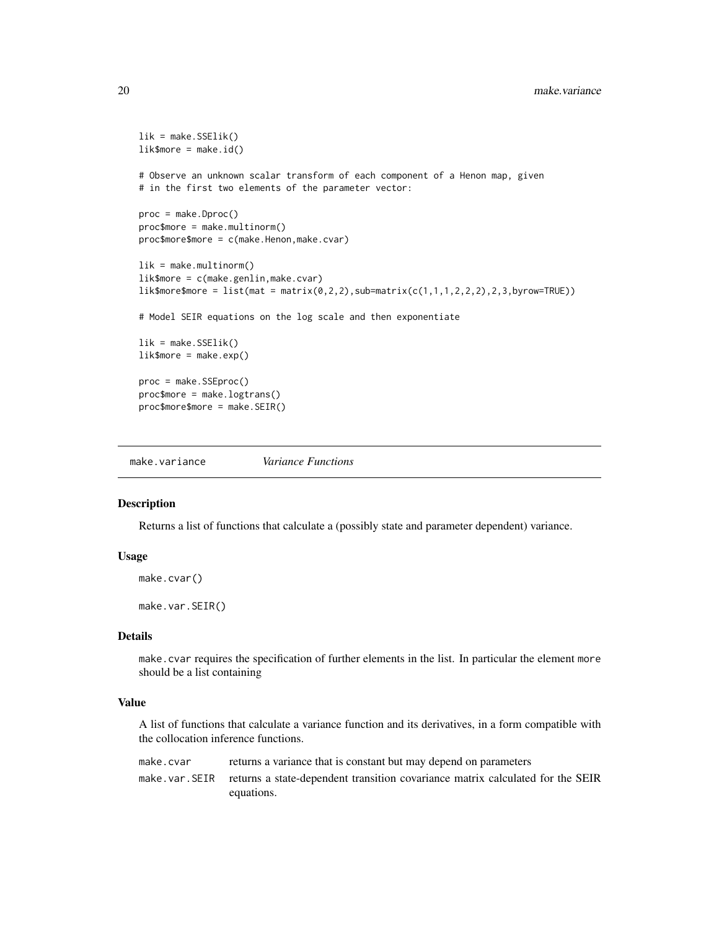```
lik = make.SSElik()
lik$more = make.id()
# Observe an unknown scalar transform of each component of a Henon map, given
# in the first two elements of the parameter vector:
proc = make.Dproc()
proc$more = make.multinorm()
proc$more$more = c(make.Henon,make.cvar)
lik = make.multinorm()
lik$more = c(make.genlin,make.cvar)
lik$more$more = list(mat = matrix(0, 2, 2), sub=matrix(c(1, 1, 1, 2, 2, 2), 2, 3, by row=TRUE))# Model SEIR equations on the log scale and then exponentiate
lik = make.SSElik()lik$more = make.exp()proc = make.SSEproc()
proc$more = make.logtrans()
proc$more$more = make.SEIR()
```
make.variance *Variance Functions*

#### Description

Returns a list of functions that calculate a (possibly state and parameter dependent) variance.

# Usage

make.cvar()

make.var.SEIR()

#### Details

make.cvar requires the specification of further elements in the list. In particular the element more should be a list containing

# Value

A list of functions that calculate a variance function and its derivatives, in a form compatible with the collocation inference functions.

| make.cvar | returns a variance that is constant but may depend on parameters                               |
|-----------|------------------------------------------------------------------------------------------------|
|           | make, var, SEIR returns a state-dependent transition covariance matrix calculated for the SEIR |
|           | equations.                                                                                     |

<span id="page-19-0"></span>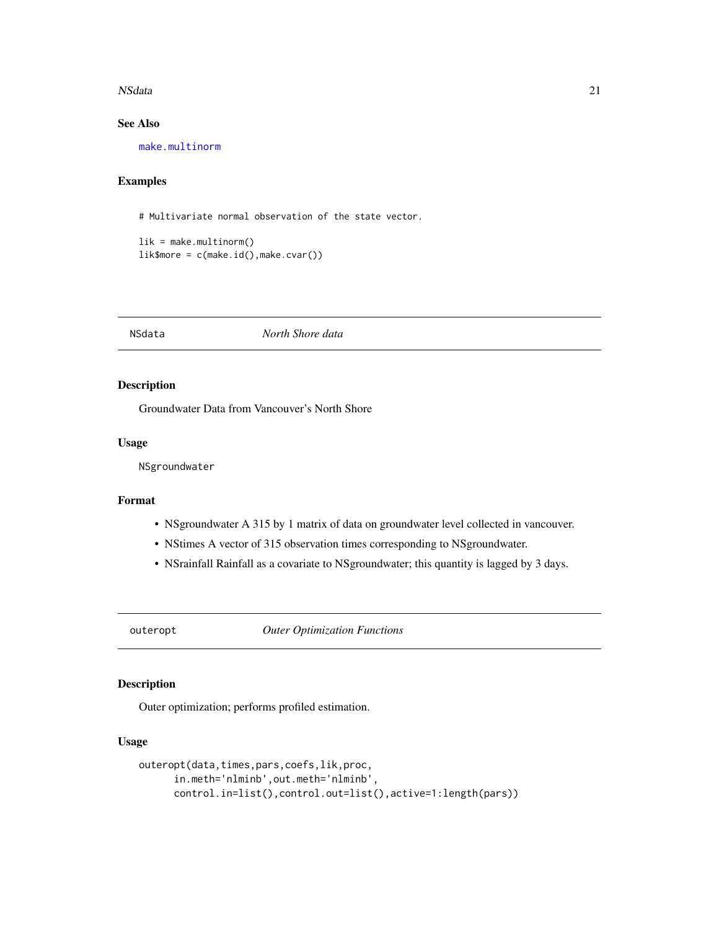#### <span id="page-20-0"></span>NSdata 21

# See Also

[make.multinorm](#page-12-1)

# Examples

# Multivariate normal observation of the state vector.

```
lik = make.multinorm()
lik$more = c(make.id(), make.cvar())
```
NSdata *North Shore data*

# Description

Groundwater Data from Vancouver's North Shore

## Usage

NSgroundwater

# Format

- NSgroundwater A 315 by 1 matrix of data on groundwater level collected in vancouver.
- NStimes A vector of 315 observation times corresponding to NSgroundwater.
- NSrainfall Rainfall as a covariate to NSgroundwater; this quantity is lagged by 3 days.

<span id="page-20-1"></span>outeropt *Outer Optimization Functions*

# Description

Outer optimization; performs profiled estimation.

# Usage

```
outeropt(data,times,pars,coefs,lik,proc,
     in.meth='nlminb',out.meth='nlminb',
     control.in=list(),control.out=list(),active=1:length(pars))
```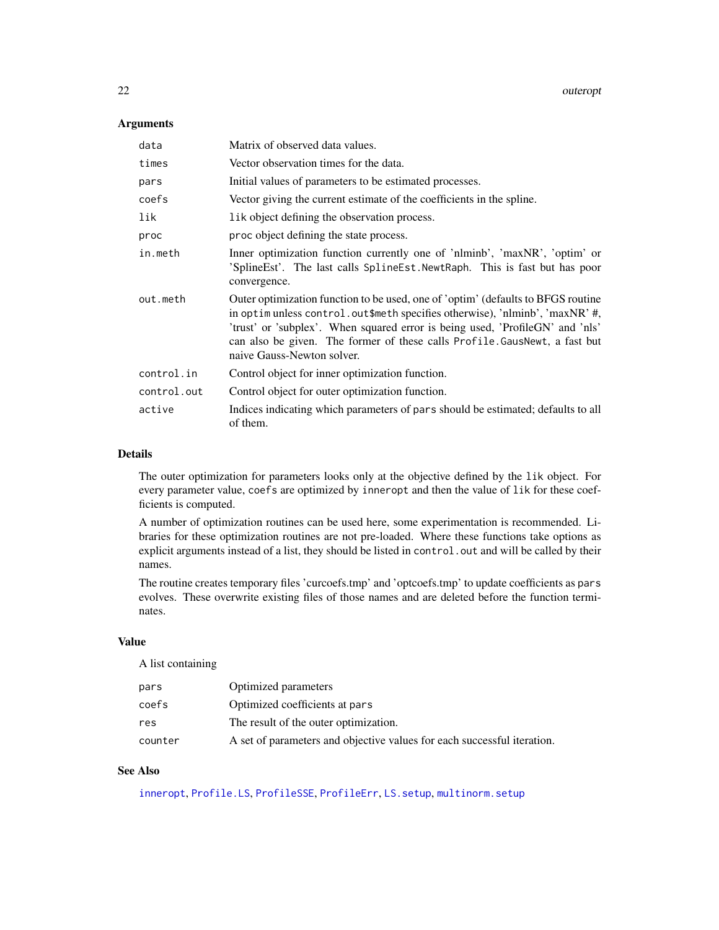# <span id="page-21-0"></span>Arguments

| data        | Matrix of observed data values.                                                                                                                                                                                                                                                                                                                               |
|-------------|---------------------------------------------------------------------------------------------------------------------------------------------------------------------------------------------------------------------------------------------------------------------------------------------------------------------------------------------------------------|
| times       | Vector observation times for the data.                                                                                                                                                                                                                                                                                                                        |
| pars        | Initial values of parameters to be estimated processes.                                                                                                                                                                                                                                                                                                       |
| coefs       | Vector giving the current estimate of the coefficients in the spline.                                                                                                                                                                                                                                                                                         |
| lik         | lik object defining the observation process.                                                                                                                                                                                                                                                                                                                  |
| proc        | proc object defining the state process.                                                                                                                                                                                                                                                                                                                       |
| in.meth     | Inner optimization function currently one of 'nlminb', 'maxNR', 'optim' or<br>'SplineEst'. The last calls SplineEst. NewtRaph. This is fast but has poor<br>convergence.                                                                                                                                                                                      |
| out.meth    | Outer optimization function to be used, one of 'optim' (defaults to BFGS routine<br>in optimunless control. out\$meth specifies otherwise), 'nlminb', 'maxNR' #,<br>'trust' or 'subplex'. When squared error is being used, 'ProfileGN' and 'nls'<br>can also be given. The former of these calls Profile. GausNewt, a fast but<br>naive Gauss-Newton solver. |
| control.in  | Control object for inner optimization function.                                                                                                                                                                                                                                                                                                               |
| control.out | Control object for outer optimization function.                                                                                                                                                                                                                                                                                                               |
| active      | Indices indicating which parameters of parts should be estimated; defaults to all<br>of them.                                                                                                                                                                                                                                                                 |

# Details

The outer optimization for parameters looks only at the objective defined by the lik object. For every parameter value, coefs are optimized by inneropt and then the value of lik for these coefficients is computed.

A number of optimization routines can be used here, some experimentation is recommended. Libraries for these optimization routines are not pre-loaded. Where these functions take options as explicit arguments instead of a list, they should be listed in control.out and will be called by their names.

The routine creates temporary files 'curcoefs.tmp' and 'optcoefs.tmp' to update coefficients as pars evolves. These overwrite existing files of those names and are deleted before the function terminates.

# Value

A list containing

| pars    | Optimized parameters                                                    |
|---------|-------------------------------------------------------------------------|
| coefs   | Optimized coefficients at pars                                          |
| res     | The result of the outer optimization.                                   |
| counter | A set of parameters and objective values for each successful iteration. |

# See Also

[inneropt](#page-8-1), [Profile.LS](#page-28-1), [ProfileSSE](#page-25-1), [ProfileErr](#page-25-1), [LS.setup](#page-33-1), [multinorm.setup](#page-33-1)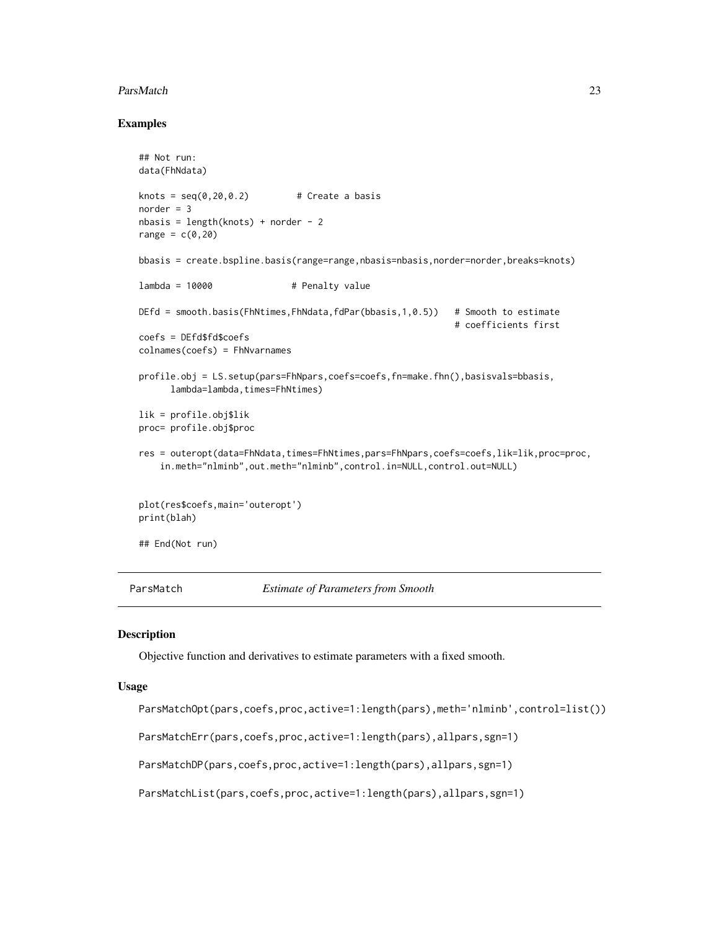#### <span id="page-22-0"></span>ParsMatch 23

#### Examples

```
## Not run:
data(FhNdata)
knots = seq(0, 20, 0.2) # Create a basis
norder = 3nbasis = length(knots) + norder - 2
range = c(0, 20)bbasis = create.bspline.basis(range=range,nbasis=nbasis,norder=norder,breaks=knots)
lambda = 10000 # Penalty value
DEfd = smooth.basis(FhNtimes,FhNdata,fdPar(bbasis,1,0.5)) # Smooth to estimate
                                                           # coefficients first
coefs = DEfd$fd$coefs
colnames(coefs) = FhNvarnames
profile.obj = LS.setup(pars=FhNpars,coefs=coefs,fn=make.fhn(),basisvals=bbasis,
      lambda=lambda,times=FhNtimes)
lik = profile.obj$lik
proc= profile.obj$proc
res = outeropt(data=FhNdata,times=FhNtimes,pars=FhNpars,coefs=coefs,lik=lik,proc=proc,
    in.meth="nlminb",out.meth="nlminb",control.in=NULL,control.out=NULL)
plot(res$coefs,main='outeropt')
print(blah)
## End(Not run)
```
ParsMatch *Estimate of Parameters from Smooth*

#### <span id="page-22-1"></span>Description

Objective function and derivatives to estimate parameters with a fixed smooth.

#### Usage

ParsMatchOpt(pars,coefs,proc,active=1:length(pars),meth='nlminb',control=list())

ParsMatchErr(pars,coefs,proc,active=1:length(pars),allpars,sgn=1)

ParsMatchDP(pars,coefs,proc,active=1:length(pars),allpars,sgn=1)

ParsMatchList(pars,coefs,proc,active=1:length(pars),allpars,sgn=1)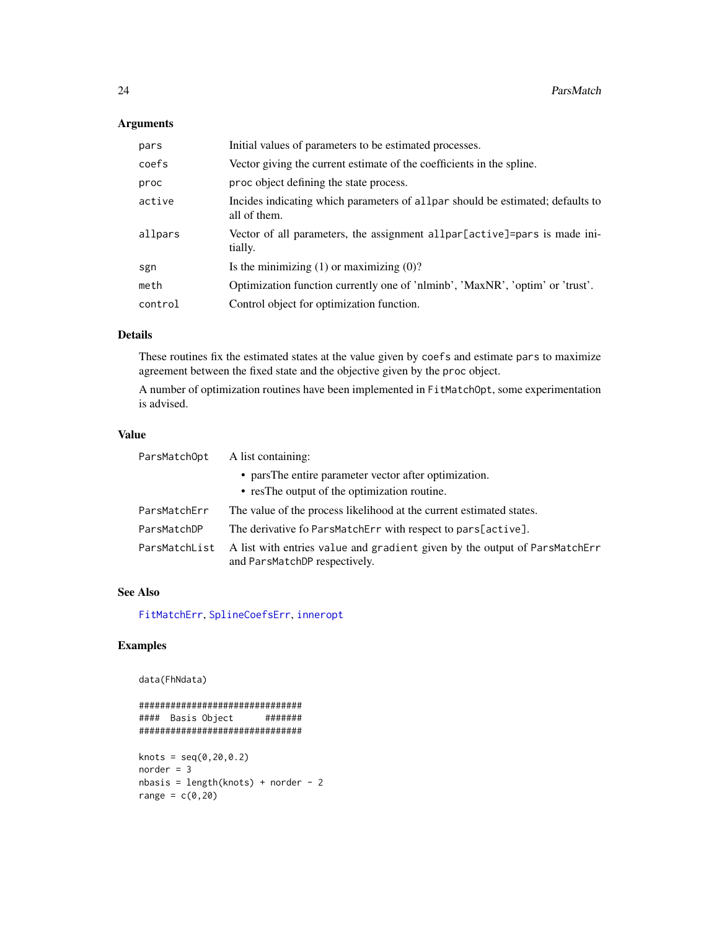# <span id="page-23-0"></span>Arguments

| pars    | Initial values of parameters to be estimated processes.                                        |
|---------|------------------------------------------------------------------------------------------------|
| coefs   | Vector giving the current estimate of the coefficients in the spline.                          |
| proc    | proc object defining the state process.                                                        |
| active  | Incides indicating which parameters of allpar should be estimated; defaults to<br>all of them. |
| allpars | Vector of all parameters, the assignment allpar[active]=pars is made ini-<br>tially.           |
| sgn     | Is the minimizing $(1)$ or maximizing $(0)$ ?                                                  |
| meth    | Optimization function currently one of 'nlminb', 'MaxNR', 'optim' or 'trust'.                  |
| control | Control object for optimization function.                                                      |

# Details

These routines fix the estimated states at the value given by coefs and estimate pars to maximize agreement between the fixed state and the objective given by the proc object.

A number of optimization routines have been implemented in FitMatchOpt, some experimentation is advised.

# Value

| ParsMatchOpt  | A list containing:                                                                                          |
|---------------|-------------------------------------------------------------------------------------------------------------|
|               | • pars The entire parameter vector after optimization.                                                      |
|               | • restries output of the optimization routine.                                                              |
| ParsMatchErr  | The value of the process likelihood at the current estimated states.                                        |
| ParsMatchDP   | The derivative fo ParsMatchErr with respect to pars[active].                                                |
| ParsMatchList | A list with entries value and gradient given by the output of ParsMatchErr<br>and ParsMatchDP respectively. |

# See Also

[FitMatchErr](#page-5-1), [SplineCoefsErr](#page-40-1), [inneropt](#page-8-1)

# Examples

```
data(FhNdata)
```

```
###############################
#### Basis Object #######
###############################
knots = seq(0, 20, 0.2)norder = 3nbasis = length(knots) + norder - 2range = c(0, 20)
```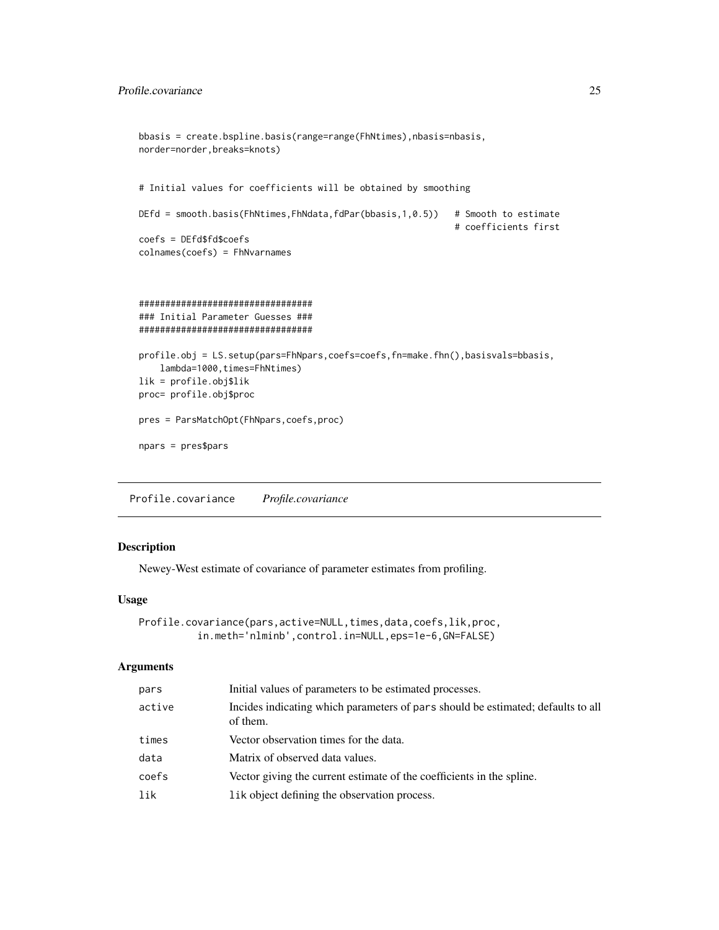```
bbasis = create.bspline.basis(range=range(FhNtimes),nbasis=nbasis,
norder=norder,breaks=knots)
# Initial values for coefficients will be obtained by smoothing
DEfd = smooth.basis(FhNtimes,FhNdata,fdPar(bbasis,1,0.5)) # Smooth to estimate
                                                            # coefficients first
coefs = DEfd$fd$coefs
colnames(coefs) = FhNvarnames
#################################
### Initial Parameter Guesses ###
#################################
profile.obj = LS.setup(pars=FhNpars,coefs=coefs,fn=make.fhn(),basisvals=bbasis,
    lambda=1000,times=FhNtimes)
lik = profile.obj$lik
proc= profile.obj$proc
pres = ParsMatchOpt(FhNpars,coefs,proc)
npars = pres$pars
```
Profile.covariance *Profile.covariance*

# Description

Newey-West estimate of covariance of parameter estimates from profiling.

# Usage

```
Profile.covariance(pars,active=NULL,times,data,coefs,lik,proc,
          in.meth='nlminb',control.in=NULL,eps=1e-6,GN=FALSE)
```
### Arguments

| pars   | Initial values of parameters to be estimated processes.                                      |
|--------|----------------------------------------------------------------------------------------------|
| active | Incides indicating which parameters of pars should be estimated; defaults to all<br>of them. |
| times  | Vector observation times for the data.                                                       |
| data   | Matrix of observed data values.                                                              |
| coefs  | Vector giving the current estimate of the coefficients in the spline.                        |
| lik    | lik object defining the observation process.                                                 |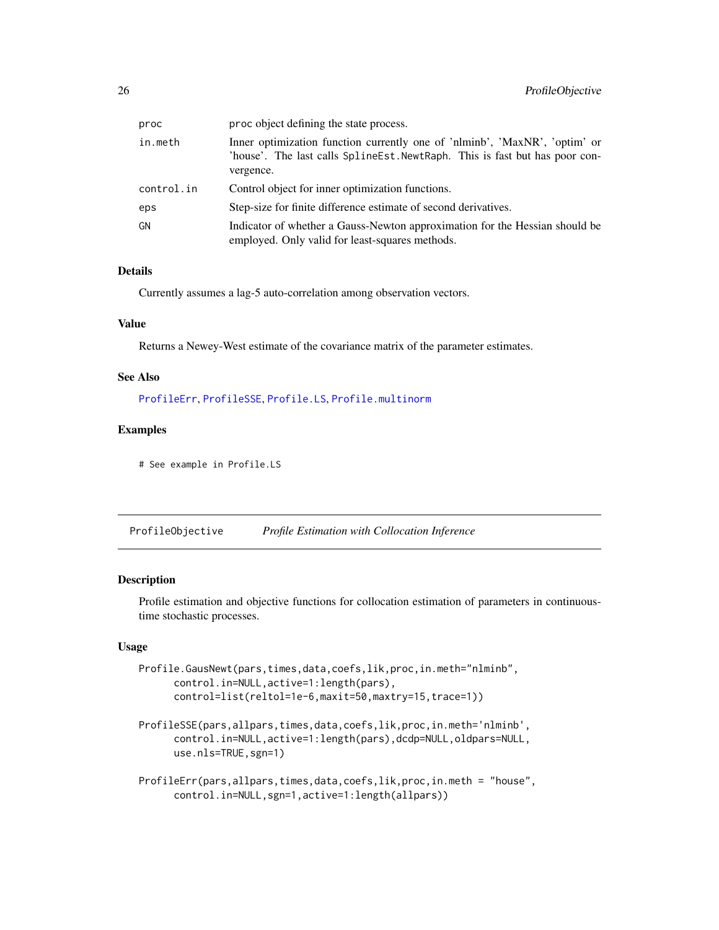<span id="page-25-0"></span>

| proc       | proc object defining the state process.                                                                                                                                |
|------------|------------------------------------------------------------------------------------------------------------------------------------------------------------------------|
| in.meth    | Inner optimization function currently one of 'nlminb', 'MaxNR', 'optim' or<br>'house'. The last calls SplineEst. NewtRaph. This is fast but has poor con-<br>vergence. |
| control.in | Control object for inner optimization functions.                                                                                                                       |
| eps        | Step-size for finite difference estimate of second derivatives.                                                                                                        |
| GN         | Indicator of whether a Gauss-Newton approximation for the Hessian should be<br>employed. Only valid for least-squares methods.                                         |

# Details

Currently assumes a lag-5 auto-correlation among observation vectors.

# Value

Returns a Newey-West estimate of the covariance matrix of the parameter estimates.

# See Also

[ProfileErr](#page-25-1), [ProfileSSE](#page-25-1), [Profile.LS](#page-28-1), [Profile.multinorm](#page-28-1)

#### Examples

# See example in Profile.LS

ProfileObjective *Profile Estimation with Collocation Inference*

### <span id="page-25-1"></span>Description

Profile estimation and objective functions for collocation estimation of parameters in continuoustime stochastic processes.

#### Usage

```
Profile.GausNewt(pars,times,data,coefs,lik,proc,in.meth="nlminb",
     control.in=NULL,active=1:length(pars),
     control=list(reltol=1e-6,maxit=50,maxtry=15,trace=1))
```

```
ProfileSSE(pars,allpars,times,data,coefs,lik,proc,in.meth='nlminb',
     control.in=NULL,active=1:length(pars),dcdp=NULL,oldpars=NULL,
     use.nls=TRUE,sgn=1)
```

```
ProfileErr(pars,allpars,times,data,coefs,lik,proc,in.meth = "house",
     control.in=NULL,sgn=1,active=1:length(allpars))
```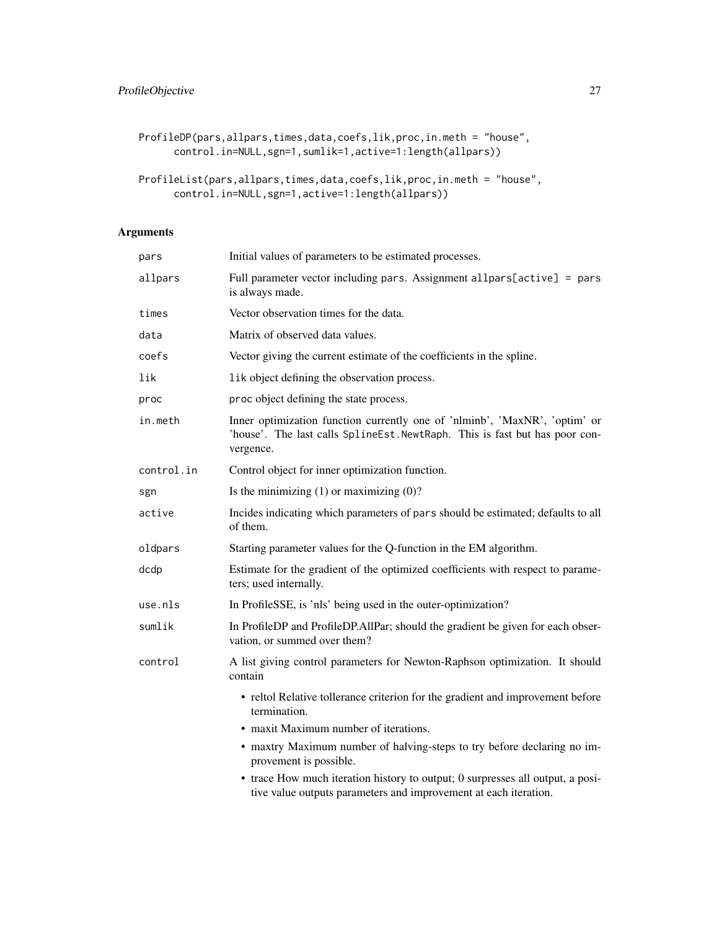```
ProfileDP(pars,allpars,times,data,coefs,lik,proc,in.meth = "house",
     control.in=NULL,sgn=1,sumlik=1,active=1:length(allpars))
```

```
ProfileList(pars,allpars,times,data,coefs,lik,proc,in.meth = "house",
      control.in=NULL,sgn=1,active=1:length(allpars))
```
# Arguments

| pars       | Initial values of parameters to be estimated processes.                                                                                                                |
|------------|------------------------------------------------------------------------------------------------------------------------------------------------------------------------|
| allpars    | Full parameter vector including pars. Assignment allpars[active] = pars<br>is always made.                                                                             |
| times      | Vector observation times for the data.                                                                                                                                 |
| data       | Matrix of observed data values.                                                                                                                                        |
| coefs      | Vector giving the current estimate of the coefficients in the spline.                                                                                                  |
| lik        | lik object defining the observation process.                                                                                                                           |
| proc       | proc object defining the state process.                                                                                                                                |
| in.meth    | Inner optimization function currently one of 'nlminb', 'MaxNR', 'optim' or<br>'house'. The last calls SplineEst. NewtRaph. This is fast but has poor con-<br>vergence. |
| control.in | Control object for inner optimization function.                                                                                                                        |
| sgn        | Is the minimizing $(1)$ or maximizing $(0)$ ?                                                                                                                          |
| active     | Incides indicating which parameters of pars should be estimated; defaults to all<br>of them.                                                                           |
| oldpars    | Starting parameter values for the Q-function in the EM algorithm.                                                                                                      |
| dcdp       | Estimate for the gradient of the optimized coefficients with respect to parame-<br>ters; used internally.                                                              |
| use.nls    | In Profile SSE, is 'nls' being used in the outer-optimization?                                                                                                         |
| sumlik     | In ProfileDP and ProfileDP.AllPar; should the gradient be given for each obser-<br>vation, or summed over them?                                                        |
| control    | A list giving control parameters for Newton-Raphson optimization. It should<br>contain                                                                                 |
|            | • reltol Relative tollerance criterion for the gradient and improvement before<br>termination.                                                                         |
|            | • maxit Maximum number of iterations.                                                                                                                                  |
|            | • maxtry Maximum number of halving-steps to try before declaring no im-<br>provement is possible.                                                                      |
|            | • trace How much iteration history to output; 0 surpresses all output, a posi-<br>tive value outputs parameters and improvement at each iteration.                     |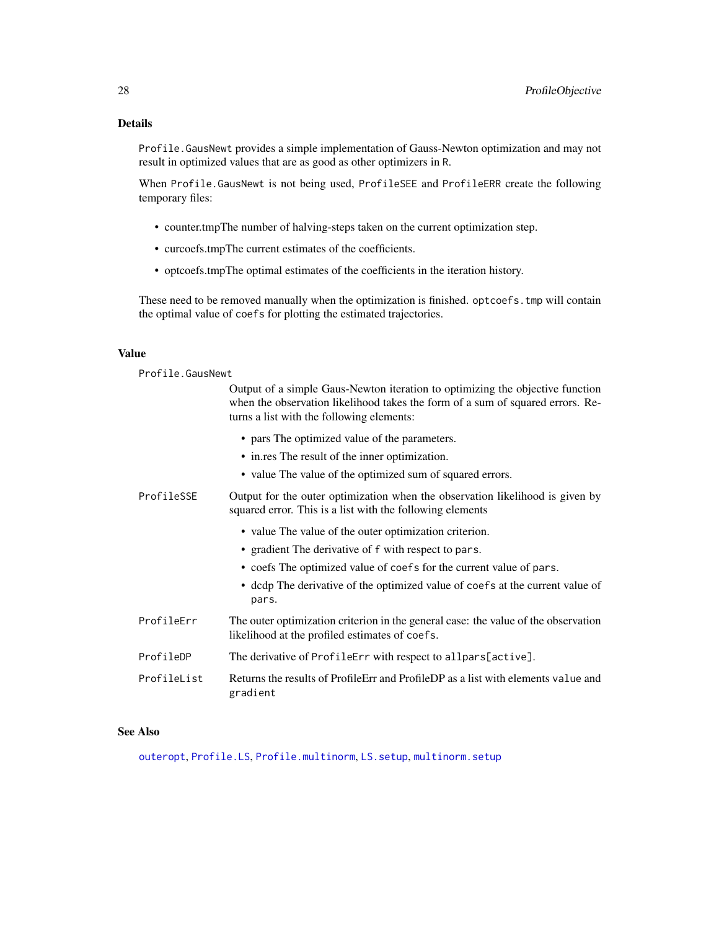# <span id="page-27-0"></span>Details

Profile.GausNewt provides a simple implementation of Gauss-Newton optimization and may not result in optimized values that are as good as other optimizers in R.

When Profile.GausNewt is not being used, ProfileSEE and ProfileERR create the following temporary files:

- counter.tmpThe number of halving-steps taken on the current optimization step.
- curcoefs.tmpThe current estimates of the coefficients.
- optcoefs.tmpThe optimal estimates of the coefficients in the iteration history.

These need to be removed manually when the optimization is finished. optcoefs.tmp will contain the optimal value of coefs for plotting the estimated trajectories.

#### Value

Profile.GausNewt

|             | Output of a simple Gaus-Newton iteration to optimizing the objective function<br>when the observation likelihood takes the form of a sum of squared errors. Re-<br>turns a list with the following elements: |
|-------------|--------------------------------------------------------------------------------------------------------------------------------------------------------------------------------------------------------------|
|             | • pars The optimized value of the parameters.                                                                                                                                                                |
|             | • in.res The result of the inner optimization.                                                                                                                                                               |
|             | • value The value of the optimized sum of squared errors.                                                                                                                                                    |
| ProfileSSE  | Output for the outer optimization when the observation likelihood is given by<br>squared error. This is a list with the following elements                                                                   |
|             | • value The value of the outer optimization criterion.                                                                                                                                                       |
|             | • gradient The derivative of f with respect to pars.                                                                                                                                                         |
|             | • coefs The optimized value of coefs for the current value of pars.                                                                                                                                          |
|             | • dcdp The derivative of the optimized value of coefs at the current value of<br>pars.                                                                                                                       |
| ProfileErr  | The outer optimization criterion in the general case: the value of the observation<br>likelihood at the profiled estimates of coefs.                                                                         |
| ProfileDP   | The derivative of ProfileErr with respect to allpars[active].                                                                                                                                                |
| ProfileList | Returns the results of Profile Err and Profile DP as a list with elements value and<br>gradient                                                                                                              |

#### See Also

[outeropt](#page-20-1), [Profile.LS](#page-28-1), [Profile.multinorm](#page-28-1), [LS.setup](#page-33-1), [multinorm.setup](#page-33-1)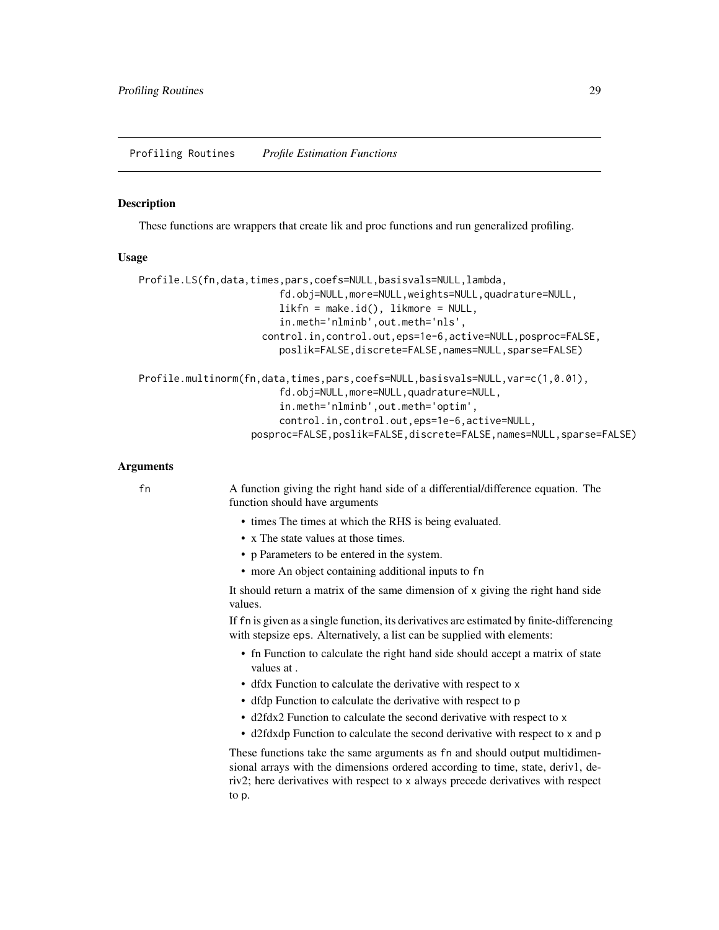#### <span id="page-28-1"></span><span id="page-28-0"></span>Description

These functions are wrappers that create lik and proc functions and run generalized profiling.

# Usage

```
Profile.LS(fn,data,times,pars,coefs=NULL,basisvals=NULL,lambda,
                        fd.obj=NULL,more=NULL,weights=NULL,quadrature=NULL,
                        likfn = make.id(), likmore = NULL,in.meth='nlminb',out.meth='nls',
                     control.in,control.out,eps=1e-6,active=NULL,posproc=FALSE,
                        poslik=FALSE,discrete=FALSE,names=NULL,sparse=FALSE)
Profile.multinorm(fn,data,times,pars,coefs=NULL,basisvals=NULL,var=c(1,0.01),
                        fd.obj=NULL,more=NULL,quadrature=NULL,
                        in.meth='nlminb',out.meth='optim',
                        control.in,control.out,eps=1e-6,active=NULL,
                   posproc=FALSE,poslik=FALSE,discrete=FALSE,names=NULL,sparse=FALSE)
```
#### Arguments

fn A function giving the right hand side of a differential/difference equation. The function should have arguments

- times The times at which the RHS is being evaluated.
- x The state values at those times.
- p Parameters to be entered in the system.
- more An object containing additional inputs to fn

It should return a matrix of the same dimension of x giving the right hand side values.

If fn is given as a single function, its derivatives are estimated by finite-differencing with stepsize eps. Alternatively, a list can be supplied with elements:

- fn Function to calculate the right hand side should accept a matrix of state values at .
- dfdx Function to calculate the derivative with respect to x
- dfdp Function to calculate the derivative with respect to p
- d2fdx2 Function to calculate the second derivative with respect to x
- d2fdxdp Function to calculate the second derivative with respect to x and p

These functions take the same arguments as fn and should output multidimensional arrays with the dimensions ordered according to time, state, deriv1, deriv2; here derivatives with respect to x always precede derivatives with respect to p.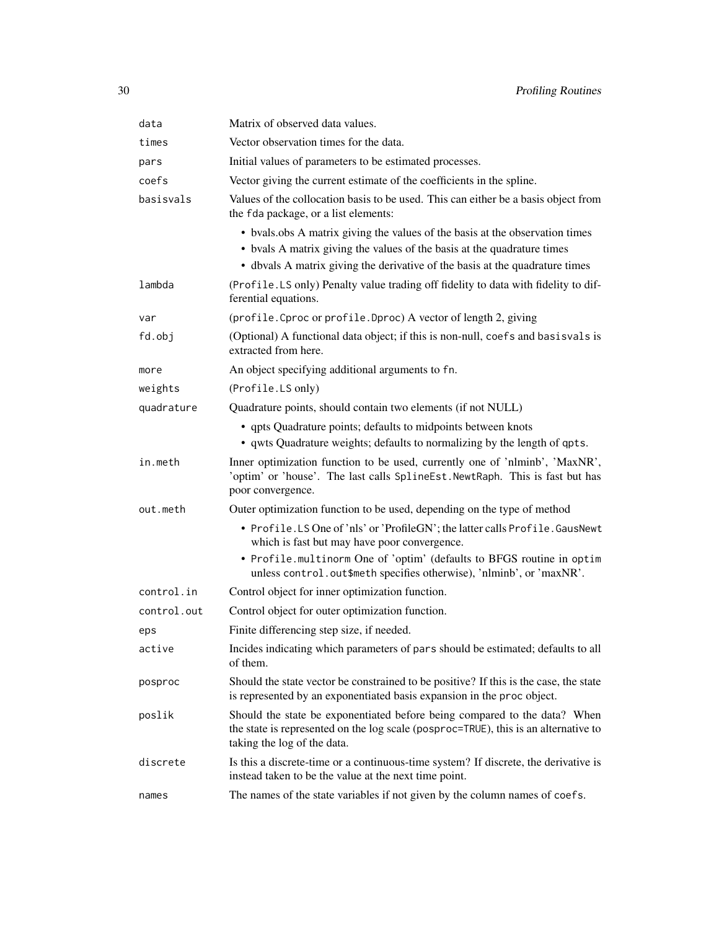| Matrix of observed data values.                                                                                                                                                                                                         |
|-----------------------------------------------------------------------------------------------------------------------------------------------------------------------------------------------------------------------------------------|
| Vector observation times for the data.                                                                                                                                                                                                  |
| Initial values of parameters to be estimated processes.                                                                                                                                                                                 |
| Vector giving the current estimate of the coefficients in the spline.                                                                                                                                                                   |
| Values of the collocation basis to be used. This can either be a basis object from<br>the fda package, or a list elements:                                                                                                              |
| • bvals.obs A matrix giving the values of the basis at the observation times<br>• bvals A matrix giving the values of the basis at the quadrature times<br>• dbvals A matrix giving the derivative of the basis at the quadrature times |
| (Profile.LS only) Penalty value trading off fidelity to data with fidelity to dif-<br>ferential equations.                                                                                                                              |
| (profile. Cproc or profile. Dproc) A vector of length 2, giving                                                                                                                                                                         |
| (Optional) A functional data object; if this is non-null, coefs and basisvals is<br>extracted from here.                                                                                                                                |
| An object specifying additional arguments to fn.                                                                                                                                                                                        |
| (Profile.LS only)                                                                                                                                                                                                                       |
| Quadrature points, should contain two elements (if not NULL)                                                                                                                                                                            |
| • qpts Quadrature points; defaults to midpoints between knots<br>• qwts Quadrature weights; defaults to normalizing by the length of qpts.                                                                                              |
| Inner optimization function to be used, currently one of 'nlminb', 'MaxNR',<br>'optim' or 'house'. The last calls SplineEst. NewtRaph. This is fast but has<br>poor convergence.                                                        |
| Outer optimization function to be used, depending on the type of method                                                                                                                                                                 |
| • Profile.LS One of 'nls' or 'ProfileGN'; the latter calls Profile. GausNewt<br>which is fast but may have poor convergence.                                                                                                            |
| • Profile.multinorm One of 'optim' (defaults to BFGS routine in optim<br>unless control.out\$meth specifies otherwise), 'nlminb', or 'maxNR'.                                                                                           |
| Control object for inner optimization function.                                                                                                                                                                                         |
| Control object for outer optimization function.                                                                                                                                                                                         |
| Finite differencing step size, if needed.                                                                                                                                                                                               |
| Incides indicating which parameters of pars should be estimated; defaults to all<br>of them.                                                                                                                                            |
| Should the state vector be constrained to be positive? If this is the case, the state<br>is represented by an exponentiated basis expansion in the proc object.                                                                         |
| Should the state be exponentiated before being compared to the data? When<br>the state is represented on the log scale (posproc=TRUE), this is an alternative to<br>taking the log of the data.                                         |
| Is this a discrete-time or a continuous-time system? If discrete, the derivative is<br>instead taken to be the value at the next time point.                                                                                            |
| The names of the state variables if not given by the column names of coefs.                                                                                                                                                             |
|                                                                                                                                                                                                                                         |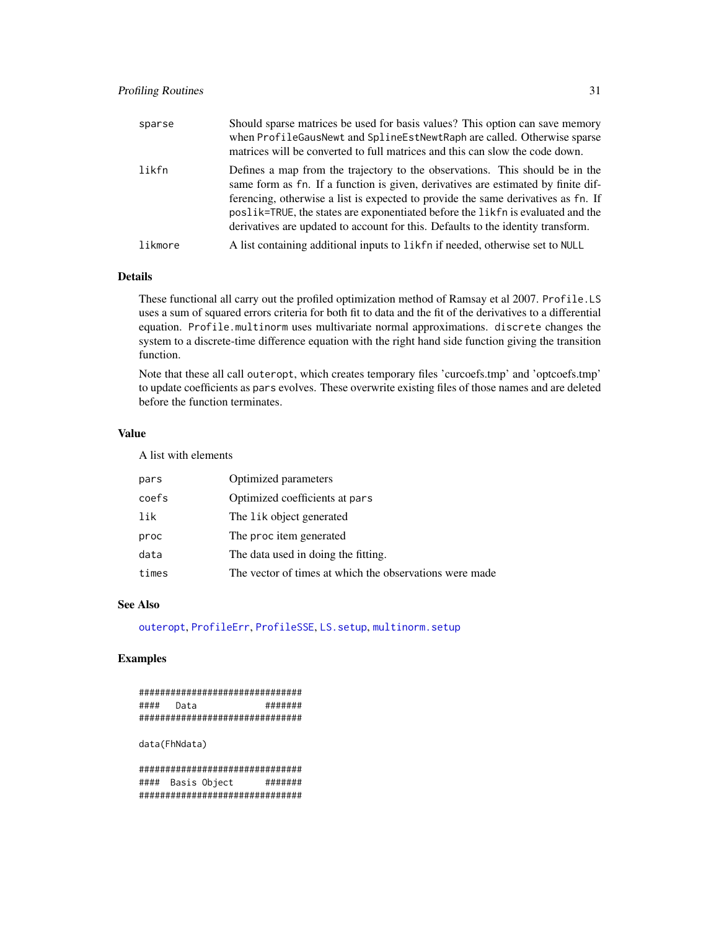<span id="page-30-0"></span>

| sparse  | Should sparse matrices be used for basis values? This option can save memory<br>when ProfileGausNewt and SplineEstNewtRaph are called. Otherwise sparse<br>matrices will be converted to full matrices and this can slow the code down.                                                                                                                                                                                       |
|---------|-------------------------------------------------------------------------------------------------------------------------------------------------------------------------------------------------------------------------------------------------------------------------------------------------------------------------------------------------------------------------------------------------------------------------------|
| likfn   | Defines a map from the trajectory to the observations. This should be in the<br>same form as fn. If a function is given, derivatives are estimated by finite dif-<br>ferencing, otherwise a list is expected to provide the same derivatives as fn. If<br>poslik=TRUE, the states are exponentiated before the likfn is evaluated and the<br>derivatives are updated to account for this. Defaults to the identity transform. |
| likmore | A list containing additional inputs to like form of readed, otherwise set to NULL                                                                                                                                                                                                                                                                                                                                             |

# Details

These functional all carry out the profiled optimization method of Ramsay et al 2007. Profile.LS uses a sum of squared errors criteria for both fit to data and the fit of the derivatives to a differential equation. Profile.multinorm uses multivariate normal approximations. discrete changes the system to a discrete-time difference equation with the right hand side function giving the transition function.

Note that these all call outeropt, which creates temporary files 'curcoefs.tmp' and 'optcoefs.tmp' to update coefficients as pars evolves. These overwrite existing files of those names and are deleted before the function terminates.

# Value

A list with elements

| pars  | Optimized parameters                                    |
|-------|---------------------------------------------------------|
| coefs | Optimized coefficients at pars                          |
| lik   | The lik object generated                                |
| proc  | The proc item generated                                 |
| data  | The data used in doing the fitting.                     |
| times | The vector of times at which the observations were made |

#### See Also

[outeropt](#page-20-1), [ProfileErr](#page-25-1), [ProfileSSE](#page-25-1), [LS.setup](#page-33-1), [multinorm.setup](#page-33-1)

# Examples

```
###############################
#### Data #######
###############################
```
data(FhNdata)

############################### #### Basis Object ####### ###############################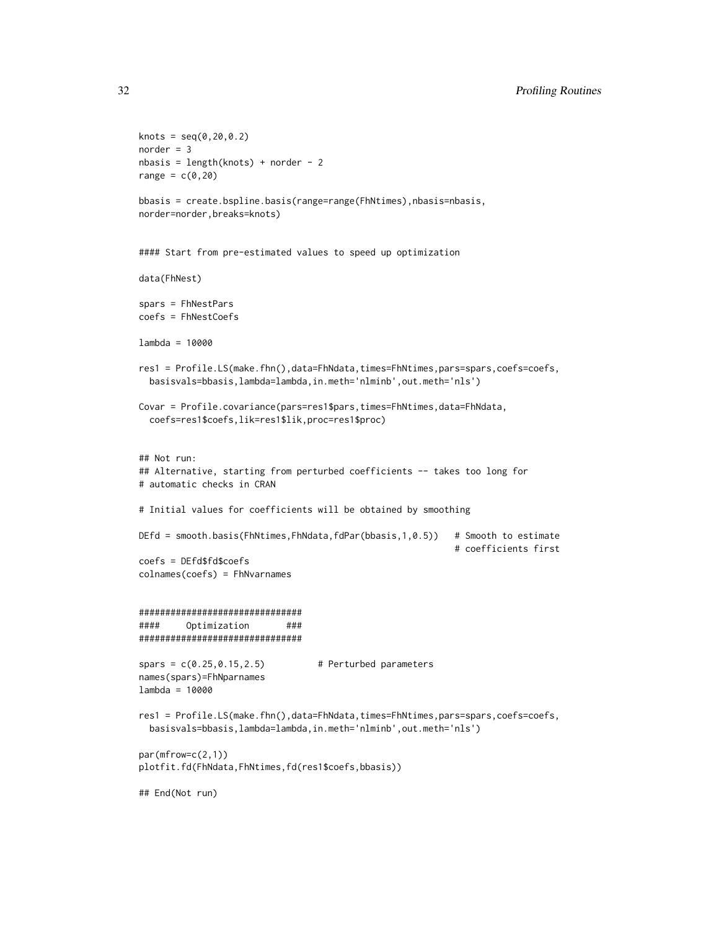```
knots = seq(0, 20, 0.2)norder = 3nbasis = length(knots) + norder - 2range = c(0, 20)bbasis = create.bspline.basis(range=range(FhNtimes),nbasis=nbasis,
norder=norder,breaks=knots)
#### Start from pre-estimated values to speed up optimization
data(FhNest)
spars = FhNestPars
coefs = FhNestCoefs
lambda = 10000
res1 = Profile.LS(make.fhn(),data=FhNdata,times=FhNtimes,pars=spars,coefs=coefs,
 basisvals=bbasis,lambda=lambda,in.meth='nlminb',out.meth='nls')
Covar = Profile.covariance(pars=res1$pars,times=FhNtimes,data=FhNdata,
 coefs=res1$coefs,lik=res1$lik,proc=res1$proc)
## Not run:
## Alternative, starting from perturbed coefficients -- takes too long for
# automatic checks in CRAN
# Initial values for coefficients will be obtained by smoothing
DEfd = smooth.basis(FhNtimes,FhNdata,fdPar(bbasis,1,0.5)) # Smooth to estimate
                                                           # coefficients first
coefs = DEfd$fd$coefs
colnames(coefs) = FhNvarnames
###############################
#### Optimization ###
###############################
spars = c(0.25, 0.15, 2.5) # Perturbed parameters
names(spars)=FhNparnames
lambda = 10000
res1 = Profile.LS(make.fhn(),data=FhNdata,times=FhNtimes,pars=spars,coefs=coefs,
 basisvals=bbasis,lambda=lambda,in.meth='nlminb',out.meth='nls')
par(mfrow=c(2,1))
plotfit.fd(FhNdata,FhNtimes,fd(res1$coefs,bbasis))
## End(Not run)
```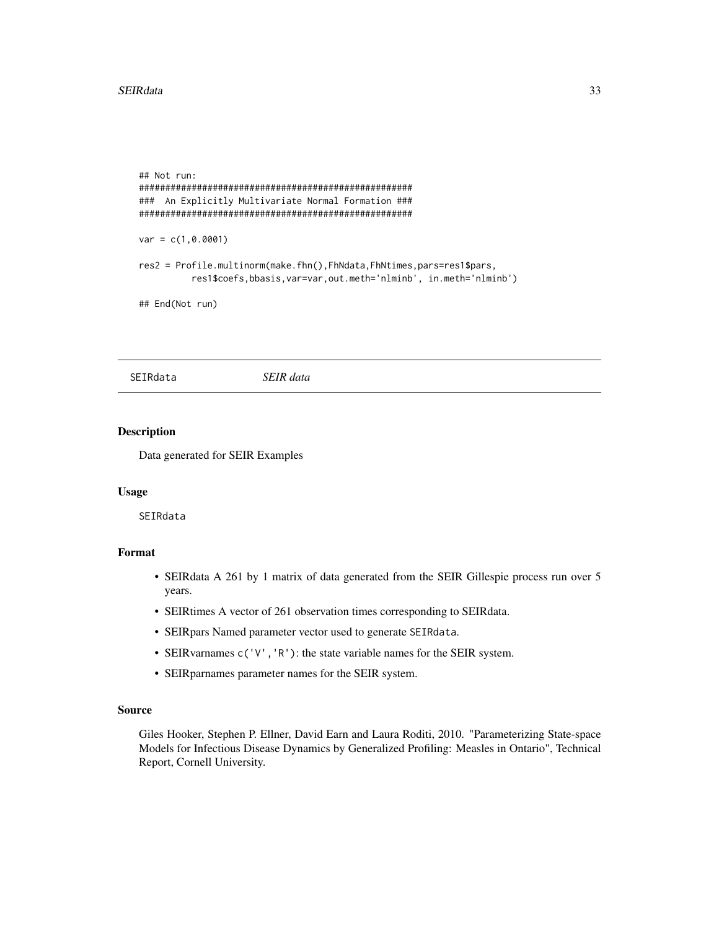```
## Not run:
####################################################
### An Explicitly Multivariate Normal Formation ###
####################################################
var = c(1, 0.0001)res2 = Profile.multinorm(make.fhn(),FhNdata,FhNtimes,pars=res1$pars,
          res1$coefs,bbasis,var=var,out.meth='nlminb', in.meth='nlminb')
```

```
## End(Not run)
```
SEIRdata *SEIR data*

# Description

Data generated for SEIR Examples

#### Usage

SEIRdata

# Format

- SEIRdata A 261 by 1 matrix of data generated from the SEIR Gillespie process run over 5 years.
- SEIRtimes A vector of 261 observation times corresponding to SEIRdata.
- SEIRpars Named parameter vector used to generate SEIRdata.
- SEIRvarnames c('V','R'): the state variable names for the SEIR system.
- SEIRparnames parameter names for the SEIR system.

#### Source

Giles Hooker, Stephen P. Ellner, David Earn and Laura Roditi, 2010. "Parameterizing State-space Models for Infectious Disease Dynamics by Generalized Profiling: Measles in Ontario", Technical Report, Cornell University.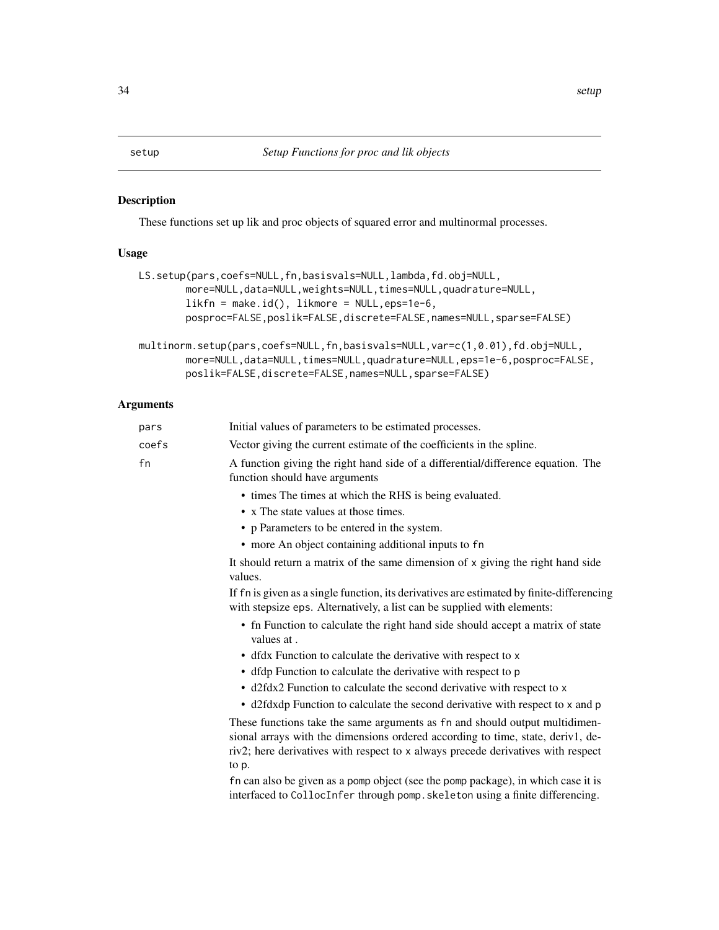# <span id="page-33-1"></span><span id="page-33-0"></span>Description

These functions set up lik and proc objects of squared error and multinormal processes.

# Usage

| LS.setup(pars,coefs=NULL,fn,basisvals=NULL,lambda,fd.obj=NULL,<br>more=NULL, data=NULL, weights=NULL, times=NULL, quadrature=NULL,<br>$likfn = make.id(), likmore = NULL,eps=1e-6,$<br>posproc=FALSE, poslik=FALSE, discrete=FALSE, names=NULL, sparse=FALSE) |
|---------------------------------------------------------------------------------------------------------------------------------------------------------------------------------------------------------------------------------------------------------------|
| multinorm.setup(pars,coefs=NULL,fn,basisvals=NULL,var=c(1,0.01),fd.obj=NULL,<br>more=NULL,data=NULL,times=NULL,quadrature=NULL,eps=1e-6,posproc=FALSE,<br>poslik=FALSE, discrete=FALSE, names=NULL, sparse=FALSE)                                             |

# Arguments

| pars  | Initial values of parameters to be estimated processes.                                                                                                                                                                                                     |
|-------|-------------------------------------------------------------------------------------------------------------------------------------------------------------------------------------------------------------------------------------------------------------|
| coefs | Vector giving the current estimate of the coefficients in the spline.                                                                                                                                                                                       |
| fn    | A function giving the right hand side of a differential/difference equation. The<br>function should have arguments                                                                                                                                          |
|       | • times The times at which the RHS is being evaluated.                                                                                                                                                                                                      |
|       | • x The state values at those times.                                                                                                                                                                                                                        |
|       | • p Parameters to be entered in the system.                                                                                                                                                                                                                 |
|       | • more An object containing additional inputs to fn                                                                                                                                                                                                         |
|       | It should return a matrix of the same dimension of x giving the right hand side<br>values.                                                                                                                                                                  |
|       | If fn is given as a single function, its derivatives are estimated by finite-differencing<br>with stepsize eps. Alternatively, a list can be supplied with elements:                                                                                        |
|       | • fn Function to calculate the right hand side should accept a matrix of state<br>values at.                                                                                                                                                                |
|       | • dfdx Function to calculate the derivative with respect to x                                                                                                                                                                                               |
|       | • dfdp Function to calculate the derivative with respect to p                                                                                                                                                                                               |
|       | • d2fdx2 Function to calculate the second derivative with respect to x                                                                                                                                                                                      |
|       | • d2fdxdp Function to calculate the second derivative with respect to x and p                                                                                                                                                                               |
|       | These functions take the same arguments as fn and should output multidimen-<br>sional arrays with the dimensions ordered according to time, state, deriv1, de-<br>riv2; here derivatives with respect to x always precede derivatives with respect<br>to p. |
|       | fn can also be given as a pomp object (see the pomp package), in which case it is<br>interfaced to CollocInfer through pomp. skeleton using a finite differencing.                                                                                          |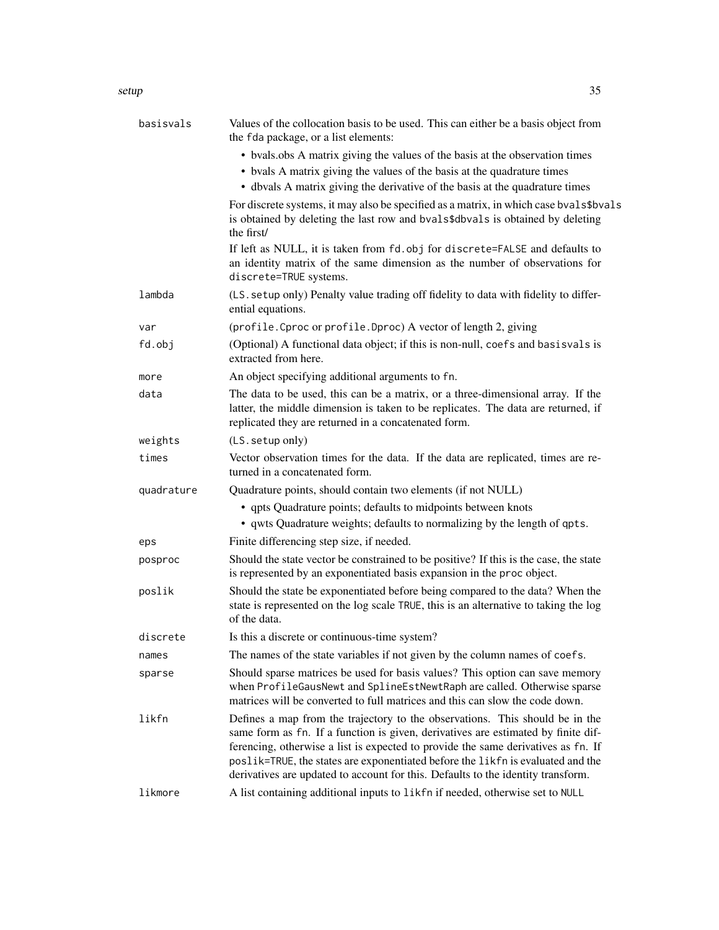| basisvals  | Values of the collocation basis to be used. This can either be a basis object from<br>the fda package, or a list elements:                                                                                                                                                                                                                                                                                                    |
|------------|-------------------------------------------------------------------------------------------------------------------------------------------------------------------------------------------------------------------------------------------------------------------------------------------------------------------------------------------------------------------------------------------------------------------------------|
|            | • bvals.obs A matrix giving the values of the basis at the observation times<br>• bvals A matrix giving the values of the basis at the quadrature times<br>• dbvals A matrix giving the derivative of the basis at the quadrature times                                                                                                                                                                                       |
|            | For discrete systems, it may also be specified as a matrix, in which case bvals\$bvals<br>is obtained by deleting the last row and bvals\$dbvals is obtained by deleting<br>the first/                                                                                                                                                                                                                                        |
|            | If left as NULL, it is taken from fd. obj for discrete=FALSE and defaults to<br>an identity matrix of the same dimension as the number of observations for<br>discrete=TRUE systems.                                                                                                                                                                                                                                          |
| lambda     | (LS. setup only) Penalty value trading off fidelity to data with fidelity to differ-<br>ential equations.                                                                                                                                                                                                                                                                                                                     |
| var        | (profile. Cproc or profile. Dproc) A vector of length 2, giving                                                                                                                                                                                                                                                                                                                                                               |
| fd.obj     | (Optional) A functional data object; if this is non-null, coefs and basisvals is<br>extracted from here.                                                                                                                                                                                                                                                                                                                      |
| more       | An object specifying additional arguments to fn.                                                                                                                                                                                                                                                                                                                                                                              |
| data       | The data to be used, this can be a matrix, or a three-dimensional array. If the<br>latter, the middle dimension is taken to be replicates. The data are returned, if<br>replicated they are returned in a concatenated form.                                                                                                                                                                                                  |
| weights    | (LS. setup only)                                                                                                                                                                                                                                                                                                                                                                                                              |
| times      | Vector observation times for the data. If the data are replicated, times are re-<br>turned in a concatenated form.                                                                                                                                                                                                                                                                                                            |
| quadrature | Quadrature points, should contain two elements (if not NULL)                                                                                                                                                                                                                                                                                                                                                                  |
|            | • qpts Quadrature points; defaults to midpoints between knots<br>• qwts Quadrature weights; defaults to normalizing by the length of qpts.                                                                                                                                                                                                                                                                                    |
| eps        | Finite differencing step size, if needed.                                                                                                                                                                                                                                                                                                                                                                                     |
| posproc    | Should the state vector be constrained to be positive? If this is the case, the state<br>is represented by an exponentiated basis expansion in the proc object.                                                                                                                                                                                                                                                               |
| poslik     | Should the state be exponentiated before being compared to the data? When the<br>state is represented on the log scale TRUE, this is an alternative to taking the log<br>of the data.                                                                                                                                                                                                                                         |
| discrete   | Is this a discrete or continuous-time system?                                                                                                                                                                                                                                                                                                                                                                                 |
| names      | The names of the state variables if not given by the column names of coefs.                                                                                                                                                                                                                                                                                                                                                   |
| sparse     | Should sparse matrices be used for basis values? This option can save memory<br>when ProfileGausNewt and SplineEstNewtRaph are called. Otherwise sparse<br>matrices will be converted to full matrices and this can slow the code down.                                                                                                                                                                                       |
| likfn      | Defines a map from the trajectory to the observations. This should be in the<br>same form as fn. If a function is given, derivatives are estimated by finite dif-<br>ferencing, otherwise a list is expected to provide the same derivatives as fn. If<br>poslik=TRUE, the states are exponentiated before the likfn is evaluated and the<br>derivatives are updated to account for this. Defaults to the identity transform. |
| likmore    | A list containing additional inputs to likfn if needed, otherwise set to NULL                                                                                                                                                                                                                                                                                                                                                 |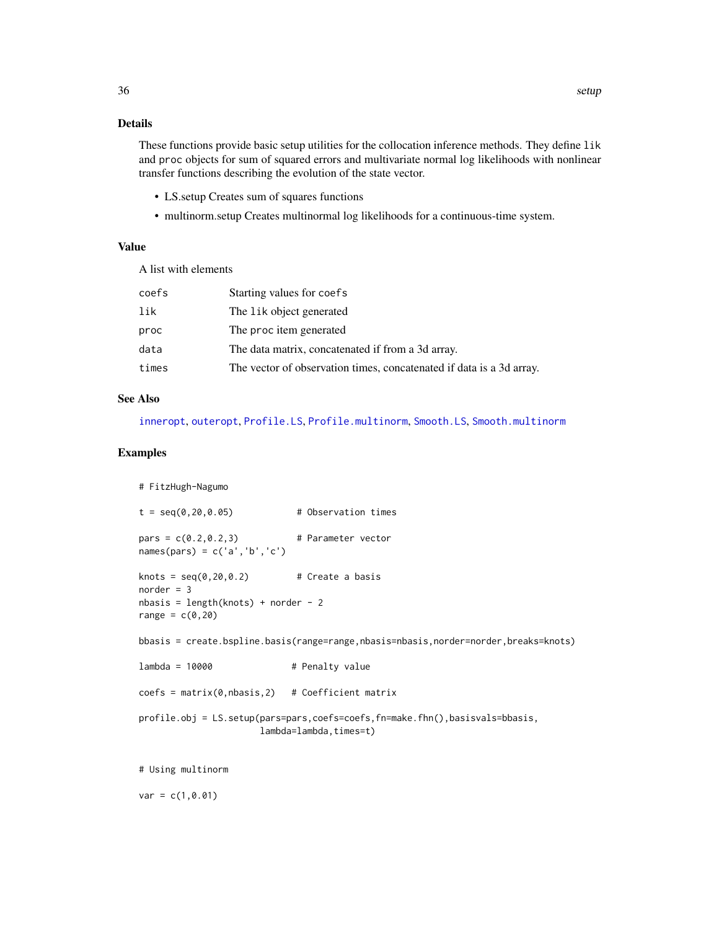# <span id="page-35-0"></span>Details

These functions provide basic setup utilities for the collocation inference methods. They define lik and proc objects for sum of squared errors and multivariate normal log likelihoods with nonlinear transfer functions describing the evolution of the state vector.

- LS.setup Creates sum of squares functions
- multinorm.setup Creates multinormal log likelihoods for a continuous-time system.

#### Value

A list with elements

| coefs | Starting values for coefs                                            |
|-------|----------------------------------------------------------------------|
| lik   | The lik object generated                                             |
| proc  | The proc item generated                                              |
| data  | The data matrix, concatenated if from a 3d array.                    |
| times | The vector of observation times, concatenated if data is a 3d array. |

#### See Also

[inneropt](#page-8-1), [outeropt](#page-20-1), [Profile.LS](#page-28-1), [Profile.multinorm](#page-28-1), [Smooth.LS](#page-36-1), [Smooth.multinorm](#page-36-2)

#### Examples

 $var = c(1, 0.01)$ 

```
# FitzHugh-Nagumo
t = seq(0, 20, 0.05) # Observation times
pars = c(0.2, 0.2, 3) # Parameter vector
names(pars) = c('a', 'b', 'c')knots = seq(0, 20, 0.2) # Create a basis
norder = 3nbasis = length(knots) + norder - 2
range = c(0, 20)bbasis = create.bspline.basis(range=range,nbasis=nbasis,norder=norder,breaks=knots)
lambda = 10000 # Penalty value
coeffs = matrix(0, n basis, 2) # Coefficient matrix
profile.obj = LS.setup(pars=pars,coefs=coefs,fn=make.fhn(),basisvals=bbasis,
                     lambda=lambda,times=t)
# Using multinorm
```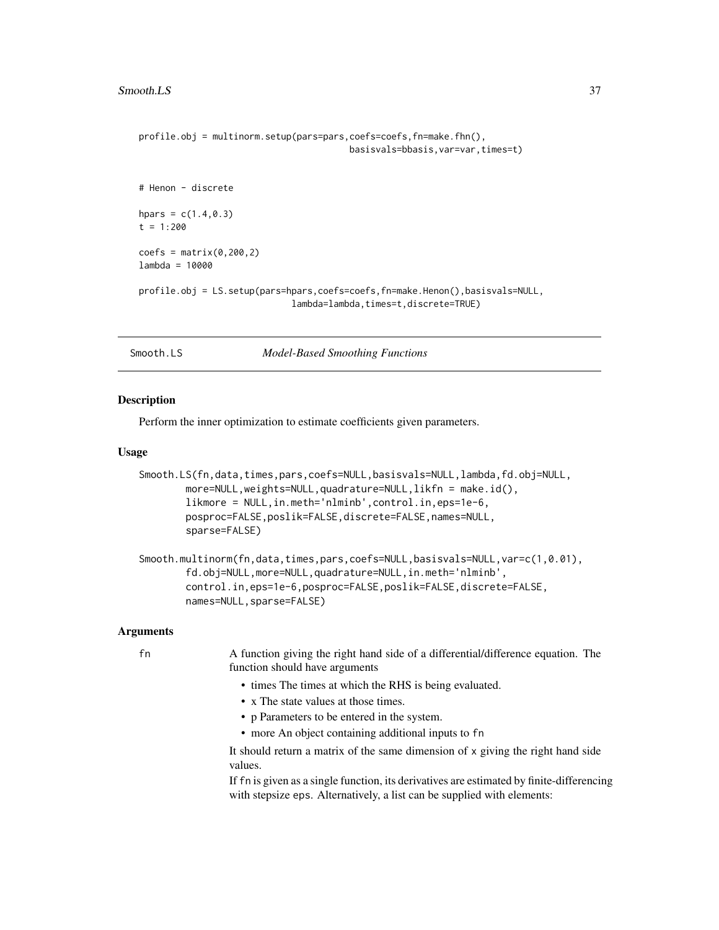```
profile.obj = multinorm.setup(pars=pars,coefs=coefs,fn=make.fhn(),
                                        basisvals=bbasis,var=var,times=t)
# Henon - discrete
hpars = c(1.4, 0.3)t = 1:200coeffs = matrix(0, 200, 2)lambda = 10000
profile.obj = LS.setup(pars=hpars,coefs=coefs,fn=make.Henon(),basisvals=NULL,
                             lambda=lambda,times=t,discrete=TRUE)
```
Smooth.LS *Model-Based Smoothing Functions*

#### <span id="page-36-2"></span>Description

Perform the inner optimization to estimate coefficients given parameters.

#### Usage

```
Smooth.LS(fn,data,times,pars,coefs=NULL,basisvals=NULL,lambda,fd.obj=NULL,
       more=NULL,weights=NULL,quadrature=NULL,likfn = make.id(),
       likmore = NULL,in.meth='nlminb',control.in,eps=1e-6,
       posproc=FALSE,poslik=FALSE,discrete=FALSE,names=NULL,
       sparse=FALSE)
```

```
Smooth.multinorm(fn,data,times,pars,coefs=NULL,basisvals=NULL,var=c(1,0.01),
       fd.obj=NULL,more=NULL,quadrature=NULL,in.meth='nlminb',
       control.in,eps=1e-6,posproc=FALSE,poslik=FALSE,discrete=FALSE,
       names=NULL,sparse=FALSE)
```
#### Arguments

fn A function giving the right hand side of a differential/difference equation. The function should have arguments

- times The times at which the RHS is being evaluated.
- x The state values at those times.
- p Parameters to be entered in the system.
- more An object containing additional inputs to fn

It should return a matrix of the same dimension of x giving the right hand side values.

If fn is given as a single function, its derivatives are estimated by finite-differencing with stepsize eps. Alternatively, a list can be supplied with elements: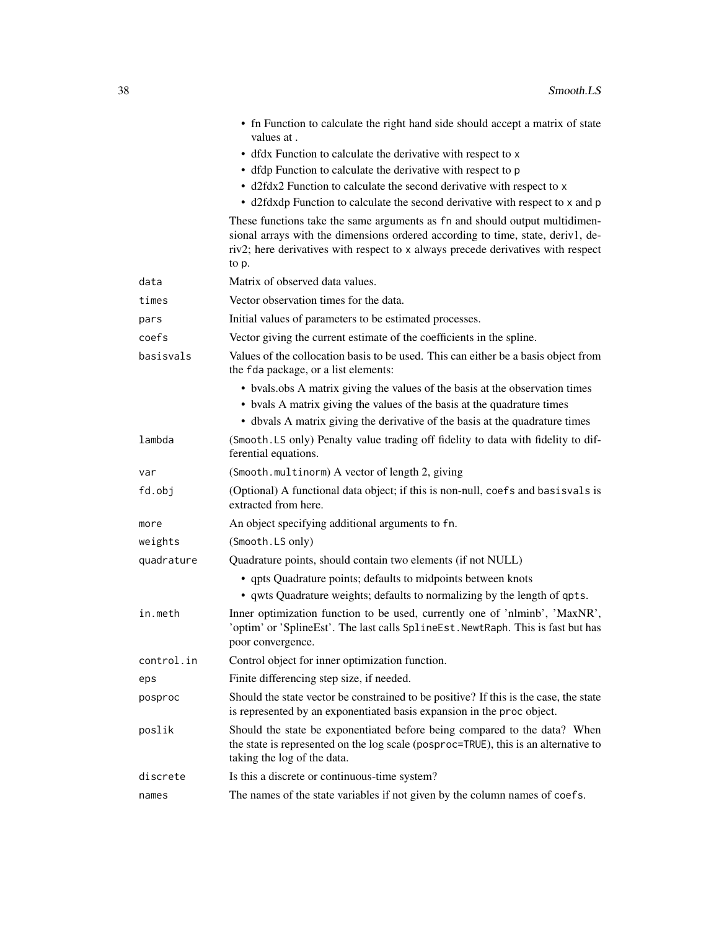|            | • fn Function to calculate the right hand side should accept a matrix of state<br>values at.                                                                                                                                                                |
|------------|-------------------------------------------------------------------------------------------------------------------------------------------------------------------------------------------------------------------------------------------------------------|
|            | • dfdx Function to calculate the derivative with respect to x                                                                                                                                                                                               |
|            | • dfdp Function to calculate the derivative with respect to p                                                                                                                                                                                               |
|            | • d2fdx2 Function to calculate the second derivative with respect to x                                                                                                                                                                                      |
|            | • d2fdxdp Function to calculate the second derivative with respect to x and p                                                                                                                                                                               |
|            | These functions take the same arguments as fn and should output multidimen-<br>sional arrays with the dimensions ordered according to time, state, deriv1, de-<br>riv2; here derivatives with respect to x always precede derivatives with respect<br>to p. |
| data       | Matrix of observed data values.                                                                                                                                                                                                                             |
| times      | Vector observation times for the data.                                                                                                                                                                                                                      |
| pars       | Initial values of parameters to be estimated processes.                                                                                                                                                                                                     |
| coefs      | Vector giving the current estimate of the coefficients in the spline.                                                                                                                                                                                       |
| basisvals  | Values of the collocation basis to be used. This can either be a basis object from<br>the fda package, or a list elements:                                                                                                                                  |
|            | • bvals.obs A matrix giving the values of the basis at the observation times<br>• by als A matrix giving the values of the basis at the quadrature times<br>• dbvals A matrix giving the derivative of the basis at the quadrature times                    |
| lambda     | (Smooth LS only) Penalty value trading off fidelity to data with fidelity to dif-<br>ferential equations.                                                                                                                                                   |
| var        | (Smooth.multinorm) A vector of length 2, giving                                                                                                                                                                                                             |
| fd.obj     | (Optional) A functional data object; if this is non-null, coefs and basisvals is<br>extracted from here.                                                                                                                                                    |
| more       | An object specifying additional arguments to fn.                                                                                                                                                                                                            |
| weights    | (Smooth.LS only)                                                                                                                                                                                                                                            |
| quadrature | Quadrature points, should contain two elements (if not NULL)                                                                                                                                                                                                |
|            | • qpts Quadrature points; defaults to midpoints between knots<br>• qwts Quadrature weights; defaults to normalizing by the length of qpts.                                                                                                                  |
| in.meth    | Inner optimization function to be used, currently one of 'nlminb', 'MaxNR',<br>'optim' or 'SplineEst'. The last calls SplineEst. NewtRaph. This is fast but has<br>poor convergence.                                                                        |
| control.in | Control object for inner optimization function.                                                                                                                                                                                                             |
| eps        | Finite differencing step size, if needed.                                                                                                                                                                                                                   |
| posproc    | Should the state vector be constrained to be positive? If this is the case, the state<br>is represented by an exponentiated basis expansion in the proc object.                                                                                             |
| poslik     | Should the state be exponentiated before being compared to the data? When<br>the state is represented on the log scale (posproc=TRUE), this is an alternative to<br>taking the log of the data.                                                             |
| discrete   | Is this a discrete or continuous-time system?                                                                                                                                                                                                               |
| names      | The names of the state variables if not given by the column names of coefs.                                                                                                                                                                                 |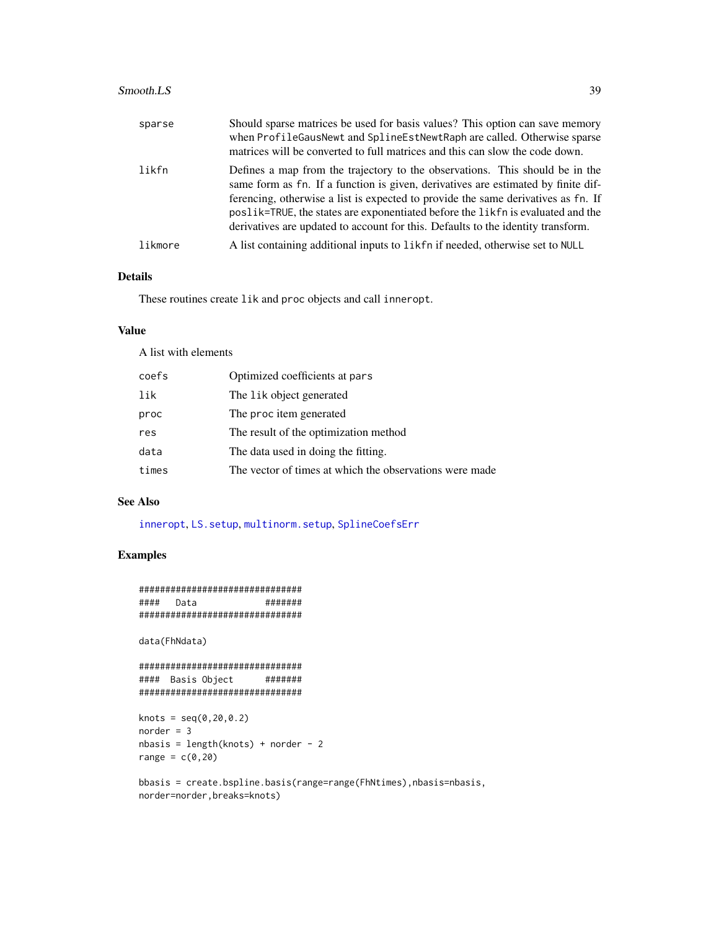#### <span id="page-38-0"></span> $Smooth.LS$  39

| sparse  | Should sparse matrices be used for basis values? This option can save memory<br>when ProfileGausNewt and SplineEstNewtRaph are called. Otherwise sparse<br>matrices will be converted to full matrices and this can slow the code down.                                                                                                                                                                                       |
|---------|-------------------------------------------------------------------------------------------------------------------------------------------------------------------------------------------------------------------------------------------------------------------------------------------------------------------------------------------------------------------------------------------------------------------------------|
| likfn   | Defines a map from the trajectory to the observations. This should be in the<br>same form as fn. If a function is given, derivatives are estimated by finite dif-<br>ferencing, otherwise a list is expected to provide the same derivatives as fn. If<br>poslik=TRUE, the states are exponentiated before the likfn is evaluated and the<br>derivatives are updated to account for this. Defaults to the identity transform. |
| likmore | A list containing additional inputs to like form of readed, otherwise set to NULL                                                                                                                                                                                                                                                                                                                                             |

# Details

These routines create lik and proc objects and call inneropt.

# Value

A list with elements

| coefs | Optimized coefficients at pars                          |
|-------|---------------------------------------------------------|
| lik   | The lik object generated                                |
| proc  | The proc item generated                                 |
| res   | The result of the optimization method                   |
| data  | The data used in doing the fitting.                     |
| times | The vector of times at which the observations were made |

# See Also

[inneropt](#page-8-1), [LS.setup](#page-33-1), [multinorm.setup](#page-33-1), [SplineCoefsErr](#page-40-1)

# Examples

```
###############################
#### Data #######
###############################
```
data(FhNdata)

```
###############################
#### Basis Object #######
###############################
```

```
knots = seq(0, 20, 0.2)norder = 3
nbasis = length(knots) + norder - 2
range = c(0, 20)
```
bbasis = create.bspline.basis(range=range(FhNtimes),nbasis=nbasis, norder=norder,breaks=knots)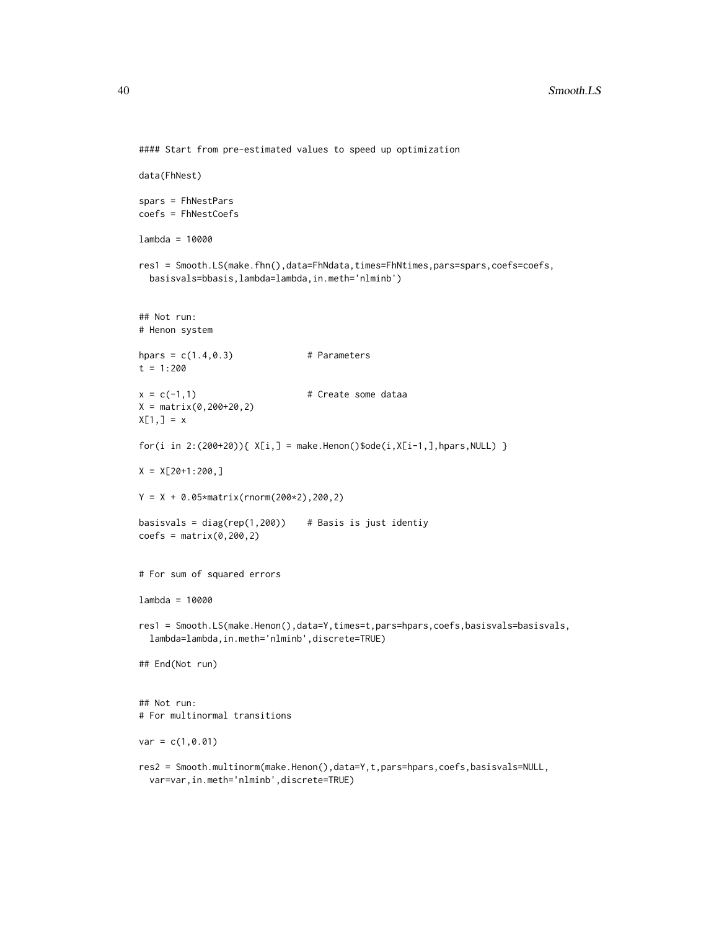```
#### Start from pre-estimated values to speed up optimization
data(FhNest)
spars = FhNestPars
coefs = FhNestCoefs
lambda = 10000
res1 = Smooth.LS(make.fhn(),data=FhNdata,times=FhNtimes,pars=spars,coefs=coefs,
  basisvals=bbasis,lambda=lambda,in.meth='nlminb')
## Not run:
# Henon system
hpars = c(1.4, 0.3) # Parameters
t = 1:200x = c(-1,1) # Create some dataa
X = matrix(0, 200 + 20, 2)X[1,] = x
for(i in 2:(200+20)){ X[i,] = make.Henon()$ode(i,X[i-1,],hpars,NULL) }
X = X[20+1:200, ]Y = X + 0.05*matrix(rnorm(200*2),200,2)
basisvals = diag(rep(1,200)) # Basis is just identiy
coeffs = matrix(0, 200, 2)# For sum of squared errors
lambda = 10000
res1 = Smooth.LS(make.Henon(),data=Y,times=t,pars=hpars,coefs,basisvals=basisvals,
  lambda=lambda,in.meth='nlminb',discrete=TRUE)
## End(Not run)
## Not run:
# For multinormal transitions
var = c(1, 0.01)res2 = Smooth.multinorm(make.Henon(),data=Y,t,pars=hpars,coefs,basisvals=NULL,
  var=var,in.meth='nlminb',discrete=TRUE)
```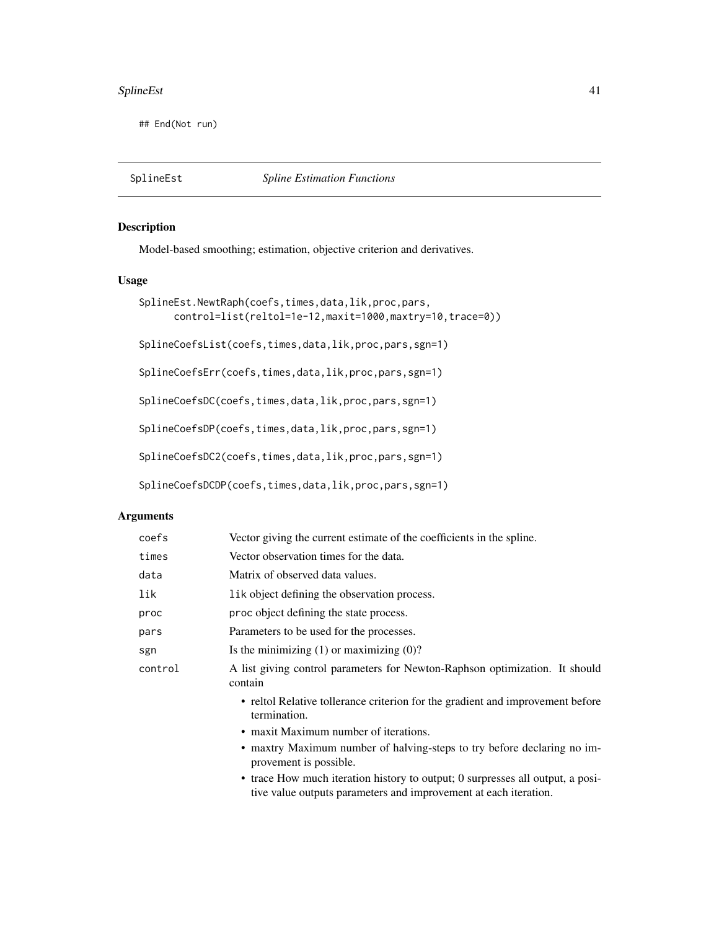#### <span id="page-40-0"></span>SplineEst 41

## End(Not run)

# <span id="page-40-1"></span>Description

Model-based smoothing; estimation, objective criterion and derivatives.

# Usage

```
SplineEst.NewtRaph(coefs,times,data,lik,proc,pars,
     control=list(reltol=1e-12,maxit=1000,maxtry=10,trace=0))
SplineCoefsList(coefs,times,data,lik,proc,pars,sgn=1)
```
SplineCoefsErr(coefs,times,data,lik,proc,pars,sgn=1)

SplineCoefsDC(coefs,times,data,lik,proc,pars,sgn=1)

SplineCoefsDP(coefs,times,data,lik,proc,pars,sgn=1)

SplineCoefsDC2(coefs,times,data,lik,proc,pars,sgn=1)

```
SplineCoefsDCDP(coefs,times,data,lik,proc,pars,sgn=1)
```
# Arguments

| coefs   | Vector giving the current estimate of the coefficients in the spline.                             |
|---------|---------------------------------------------------------------------------------------------------|
| times   | Vector observation times for the data.                                                            |
| data    | Matrix of observed data values.                                                                   |
| lik     | lik object defining the observation process.                                                      |
| proc    | proc object defining the state process.                                                           |
| pars    | Parameters to be used for the processes.                                                          |
| sgn     | Is the minimizing $(1)$ or maximizing $(0)$ ?                                                     |
| control | A list giving control parameters for Newton-Raphson optimization. It should<br>contain            |
|         | • reltol Relative tollerance criterion for the gradient and improvement before<br>termination.    |
|         | • maxit Maximum number of iterations.                                                             |
|         | • maxtry Maximum number of halving-steps to try before declaring no im-<br>provement is possible. |
|         | $\bullet$ trace How much iteration history to output: 0 surpresses all output a posi-             |

How much iteration history to output; 0 surpresses all output, a positive value outputs parameters and improvement at each iteration.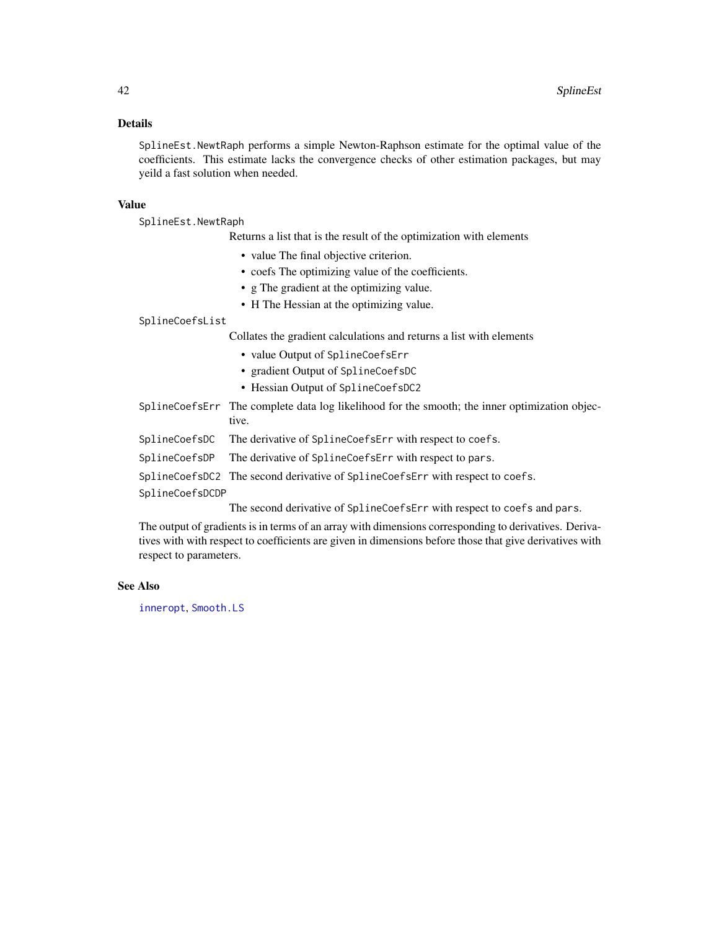# <span id="page-41-0"></span>Details

SplineEst.NewtRaph performs a simple Newton-Raphson estimate for the optimal value of the coefficients. This estimate lacks the convergence checks of other estimation packages, but may yeild a fast solution when needed.

#### Value

SplineEst.NewtRaph

Returns a list that is the result of the optimization with elements

- value The final objective criterion.
- coefs The optimizing value of the coefficients.
- g The gradient at the optimizing value.
- H The Hessian at the optimizing value.

SplineCoefsList

Collates the gradient calculations and returns a list with elements

- value Output of SplineCoefsErr
- gradient Output of SplineCoefsDC
- Hessian Output of SplineCoefsDC2
- SplineCoefsErr The complete data log likelihood for the smooth; the inner optimization objective.
- SplineCoefsDC The derivative of SplineCoefsErr with respect to coefs.
- SplineCoefsDP The derivative of SplineCoefsErr with respect to pars.
- SplineCoefsDC2 The second derivative of SplineCoefsErr with respect to coefs.

SplineCoefsDCDP

The second derivative of SplineCoefsErr with respect to coefs and pars.

The output of gradients is in terms of an array with dimensions corresponding to derivatives. Derivatives with with respect to coefficients are given in dimensions before those that give derivatives with respect to parameters.

#### See Also

[inneropt](#page-8-1), [Smooth.LS](#page-36-1)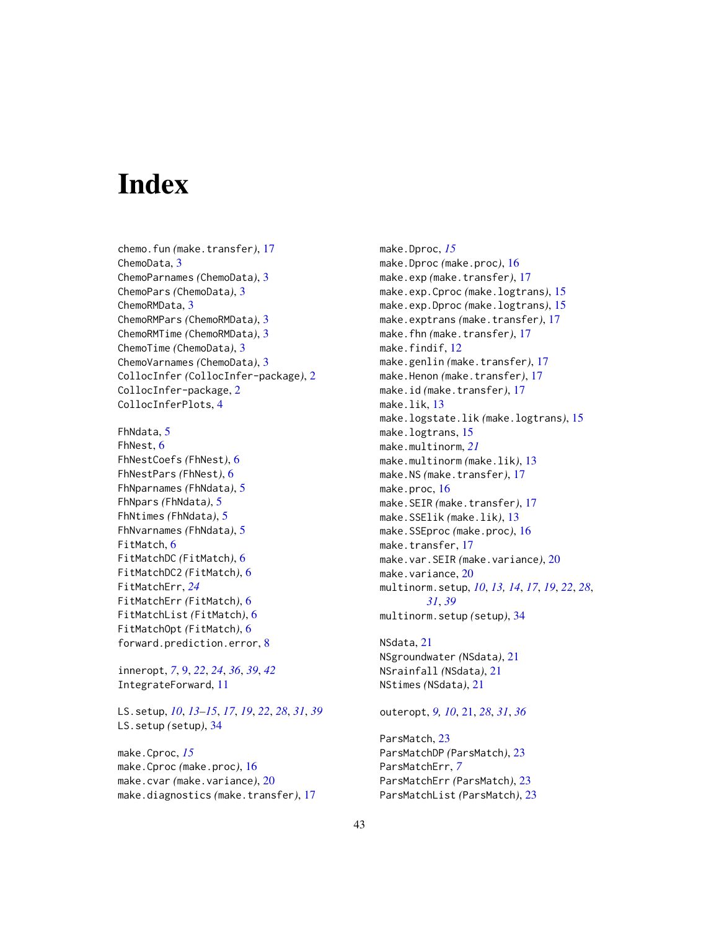# <span id="page-42-0"></span>**Index**

- chemo.fun *(*make.transfer*)*, [17](#page-16-0) ChemoData, [3](#page-2-0) ChemoParnames *(*ChemoData*)*, [3](#page-2-0) ChemoPars *(*ChemoData*)*, [3](#page-2-0) ChemoRMData, [3](#page-2-0) ChemoRMPars *(*ChemoRMData*)*, [3](#page-2-0) ChemoRMTime *(*ChemoRMData*)*, [3](#page-2-0) ChemoTime *(*ChemoData*)*, [3](#page-2-0) ChemoVarnames *(*ChemoData*)*, [3](#page-2-0) CollocInfer *(*CollocInfer-package*)*, [2](#page-1-0) CollocInfer-package, [2](#page-1-0) CollocInferPlots, [4](#page-3-0)
- FhNdata, [5](#page-4-0) FhNest, [6](#page-5-0) FhNestCoefs *(*FhNest*)*, [6](#page-5-0) FhNestPars *(*FhNest*)*, [6](#page-5-0) FhNparnames *(*FhNdata*)*, [5](#page-4-0) FhNpars *(*FhNdata*)*, [5](#page-4-0) FhNtimes *(*FhNdata*)*, [5](#page-4-0) FhNvarnames *(*FhNdata*)*, [5](#page-4-0) FitMatch, [6](#page-5-0) FitMatchDC *(*FitMatch*)*, [6](#page-5-0) FitMatchDC2 *(*FitMatch*)*, [6](#page-5-0) FitMatchErr, *[24](#page-23-0)* FitMatchErr *(*FitMatch*)*, [6](#page-5-0) FitMatchList *(*FitMatch*)*, [6](#page-5-0) FitMatchOpt *(*FitMatch*)*, [6](#page-5-0) forward.prediction.error, [8](#page-7-0)

inneropt, *[7](#page-6-0)*, [9,](#page-8-0) *[22](#page-21-0)*, *[24](#page-23-0)*, *[36](#page-35-0)*, *[39](#page-38-0)*, *[42](#page-41-0)* IntegrateForward, [11](#page-10-0)

LS.setup, *[10](#page-9-0)*, *[13](#page-12-0)[–15](#page-14-0)*, *[17](#page-16-0)*, *[19](#page-18-0)*, *[22](#page-21-0)*, *[28](#page-27-0)*, *[31](#page-30-0)*, *[39](#page-38-0)* LS.setup *(*setup*)*, [34](#page-33-0)

make.Cproc, *[15](#page-14-0)* make.Cproc *(*make.proc*)*, [16](#page-15-0) make.cvar *(*make.variance*)*, [20](#page-19-0) make.diagnostics *(*make.transfer*)*, [17](#page-16-0) make.Dproc, *[15](#page-14-0)* make.Dproc *(*make.proc*)*, [16](#page-15-0) make.exp *(*make.transfer*)*, [17](#page-16-0) make.exp.Cproc *(*make.logtrans*)*, [15](#page-14-0) make.exp.Dproc *(*make.logtrans*)*, [15](#page-14-0) make.exptrans *(*make.transfer*)*, [17](#page-16-0) make.fhn *(*make.transfer*)*, [17](#page-16-0) make.findif, [12](#page-11-0) make.genlin *(*make.transfer*)*, [17](#page-16-0) make.Henon *(*make.transfer*)*, [17](#page-16-0) make.id *(*make.transfer*)*, [17](#page-16-0) make.lik, [13](#page-12-0) make.logstate.lik *(*make.logtrans*)*, [15](#page-14-0) make.logtrans, [15](#page-14-0) make.multinorm, *[21](#page-20-0)* make.multinorm *(*make.lik*)*, [13](#page-12-0) make.NS *(*make.transfer*)*, [17](#page-16-0) make.proc, [16](#page-15-0) make.SEIR *(*make.transfer*)*, [17](#page-16-0) make.SSElik *(*make.lik*)*, [13](#page-12-0) make.SSEproc *(*make.proc*)*, [16](#page-15-0) make.transfer, [17](#page-16-0) make.var.SEIR *(*make.variance*)*, [20](#page-19-0) make.variance, [20](#page-19-0) multinorm.setup, *[10](#page-9-0)*, *[13,](#page-12-0) [14](#page-13-0)*, *[17](#page-16-0)*, *[19](#page-18-0)*, *[22](#page-21-0)*, *[28](#page-27-0)*, *[31](#page-30-0)*, *[39](#page-38-0)* multinorm.setup *(*setup*)*, [34](#page-33-0)

NSdata, [21](#page-20-0) NSgroundwater *(*NSdata*)*, [21](#page-20-0) NSrainfall *(*NSdata*)*, [21](#page-20-0) NStimes *(*NSdata*)*, [21](#page-20-0)

outeropt, *[9,](#page-8-0) [10](#page-9-0)*, [21,](#page-20-0) *[28](#page-27-0)*, *[31](#page-30-0)*, *[36](#page-35-0)*

ParsMatch, [23](#page-22-0) ParsMatchDP *(*ParsMatch*)*, [23](#page-22-0) ParsMatchErr, *[7](#page-6-0)* ParsMatchErr *(*ParsMatch*)*, [23](#page-22-0) ParsMatchList *(*ParsMatch*)*, [23](#page-22-0)